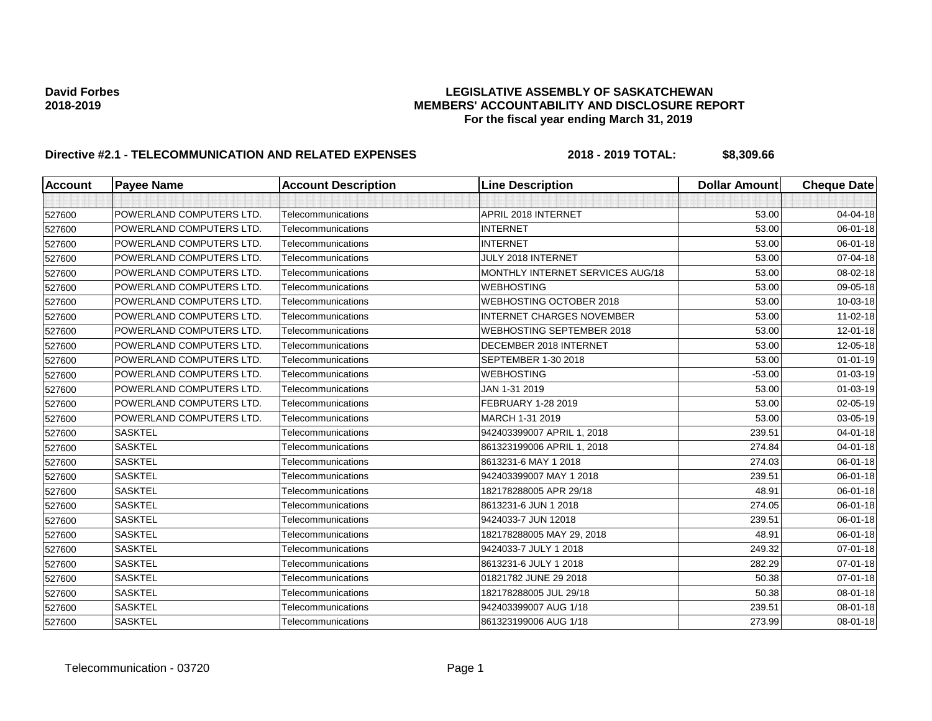| <b>Account</b> | <b>Payee Name</b>        | <b>Account Description</b> | <b>Line Description</b>          | <b>Dollar Amount</b> | <b>Cheque Date</b> |
|----------------|--------------------------|----------------------------|----------------------------------|----------------------|--------------------|
|                |                          |                            |                                  |                      |                    |
| 527600         | POWERLAND COMPUTERS LTD. | Telecommunications         | APRIL 2018 INTERNET              | 53.00                | 04-04-18           |
| 527600         | POWERLAND COMPUTERS LTD. | Telecommunications         | <b>INTERNET</b>                  | 53.00                | 06-01-18           |
| 527600         | POWERLAND COMPUTERS LTD. | Telecommunications         | <b>INTERNET</b>                  | 53.00                | 06-01-18           |
| 527600         | POWERLAND COMPUTERS LTD. | Telecommunications         | JULY 2018 INTERNET               | 53.00                | 07-04-18           |
| 527600         | POWERLAND COMPUTERS LTD. | Telecommunications         | MONTHLY INTERNET SERVICES AUG/18 | 53.00                | 08-02-18           |
| 527600         | POWERLAND COMPUTERS LTD. | Telecommunications         | <b>WEBHOSTING</b>                | 53.00                | 09-05-18           |
| 527600         | POWERLAND COMPUTERS LTD. | Telecommunications         | <b>WEBHOSTING OCTOBER 2018</b>   | 53.00                | 10-03-18           |
| 527600         | POWERLAND COMPUTERS LTD. | Telecommunications         | <b>INTERNET CHARGES NOVEMBER</b> | 53.00                | $11 - 02 - 18$     |
| 527600         | POWERLAND COMPUTERS LTD. | Telecommunications         | <b>WEBHOSTING SEPTEMBER 2018</b> | 53.00                | 12-01-18           |
| 527600         | POWERLAND COMPUTERS LTD. | Telecommunications         | DECEMBER 2018 INTERNET           | 53.00                | 12-05-18           |
| 527600         | POWERLAND COMPUTERS LTD. | Telecommunications         | SEPTEMBER 1-30 2018              | 53.00                | $01 - 01 - 19$     |
| 527600         | POWERLAND COMPUTERS LTD. | Telecommunications         | <b>WEBHOSTING</b>                | $-53.00$             | 01-03-19           |
| 527600         | POWERLAND COMPUTERS LTD. | Telecommunications         | JAN 1-31 2019                    | 53.00                | 01-03-19           |
| 527600         | POWERLAND COMPUTERS LTD. | Telecommunications         | FEBRUARY 1-28 2019               | 53.00                | 02-05-19           |
| 527600         | POWERLAND COMPUTERS LTD. | Telecommunications         | MARCH 1-31 2019                  | 53.00                | 03-05-19           |
| 527600         | <b>SASKTEL</b>           | Telecommunications         | 942403399007 APRIL 1, 2018       | 239.51               | $04 - 01 - 18$     |
| 527600         | <b>SASKTEL</b>           | Telecommunications         | 861323199006 APRIL 1, 2018       | 274.84               | 04-01-18           |
| 527600         | <b>SASKTEL</b>           | Telecommunications         | 8613231-6 MAY 1 2018             | 274.03               | 06-01-18           |
| 527600         | <b>SASKTEL</b>           | Telecommunications         | 942403399007 MAY 1 2018          | 239.51               | 06-01-18           |
| 527600         | <b>SASKTEL</b>           | Telecommunications         | 182178288005 APR 29/18           | 48.91                | 06-01-18           |
| 527600         | <b>SASKTEL</b>           | Telecommunications         | 8613231-6 JUN 1 2018             | 274.05               | 06-01-18           |
| 527600         | <b>SASKTEL</b>           | Telecommunications         | 9424033-7 JUN 12018              | 239.51               | 06-01-18           |
| 527600         | <b>SASKTEL</b>           | Telecommunications         | 182178288005 MAY 29, 2018        | 48.91                | 06-01-18           |
| 527600         | <b>SASKTEL</b>           | Telecommunications         | 9424033-7 JULY 1 2018            | 249.32               | 07-01-18           |
| 527600         | <b>SASKTEL</b>           | Telecommunications         | 8613231-6 JULY 1 2018            | 282.29               | 07-01-18           |
| 527600         | <b>SASKTEL</b>           | Telecommunications         | 01821782 JUNE 29 2018            | 50.38                | 07-01-18           |
| 527600         | <b>SASKTEL</b>           | Telecommunications         | 182178288005 JUL 29/18           | 50.38                | 08-01-18           |
| 527600         | <b>SASKTEL</b>           | Telecommunications         | 942403399007 AUG 1/18            | 239.51               | 08-01-18           |
| 527600         | <b>SASKTEL</b>           | Telecommunications         | 861323199006 AUG 1/18            | 273.99               | 08-01-18           |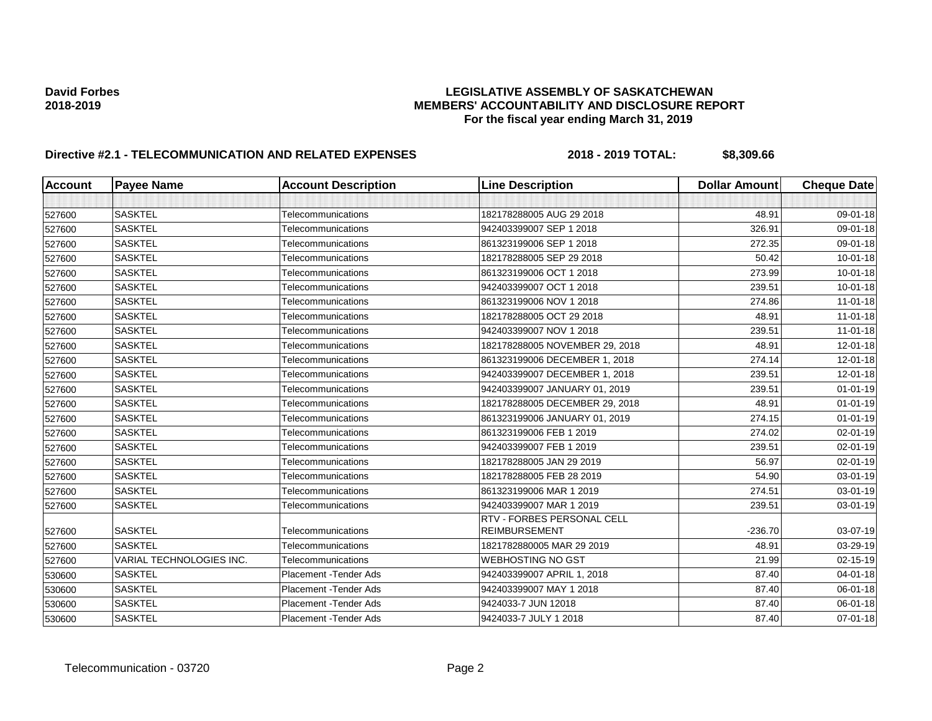| <b>Account</b> | <b>Payee Name</b>               | <b>Account Description</b> | <b>Line Description</b>                            | <b>Dollar Amount</b> | <b>Cheque Date</b> |
|----------------|---------------------------------|----------------------------|----------------------------------------------------|----------------------|--------------------|
|                |                                 |                            |                                                    |                      |                    |
| 527600         | <b>SASKTEL</b>                  | Telecommunications         | 182178288005 AUG 29 2018                           | 48.91                | 09-01-18           |
| 527600         | <b>SASKTEL</b>                  | Telecommunications         | 942403399007 SEP 1 2018                            | 326.91               | 09-01-18           |
| 527600         | <b>SASKTEL</b>                  | Telecommunications         | 861323199006 SEP 1 2018                            | 272.35               | 09-01-18           |
| 527600         | <b>SASKTEL</b>                  | Telecommunications         | 182178288005 SEP 29 2018                           | 50.42                | $10 - 01 - 18$     |
| 527600         | <b>SASKTEL</b>                  | Telecommunications         | 861323199006 OCT 1 2018                            | 273.99               | $10 - 01 - 18$     |
| 527600         | <b>SASKTEL</b>                  | Telecommunications         | 942403399007 OCT 1 2018                            | 239.51               | $10 - 01 - 18$     |
| 527600         | <b>SASKTEL</b>                  | Telecommunications         | 861323199006 NOV 1 2018                            | 274.86               | $11 - 01 - 18$     |
| 527600         | <b>SASKTEL</b>                  | Telecommunications         | 182178288005 OCT 29 2018                           | 48.91                | $11 - 01 - 18$     |
| 527600         | <b>SASKTEL</b>                  | Telecommunications         | 942403399007 NOV 1 2018                            | 239.51               | $11 - 01 - 18$     |
| 527600         | <b>SASKTEL</b>                  | Telecommunications         | 182178288005 NOVEMBER 29, 2018                     | 48.91                | 12-01-18           |
| 527600         | <b>SASKTEL</b>                  | Telecommunications         | 861323199006 DECEMBER 1, 2018                      | 274.14               | $12 - 01 - 18$     |
| 527600         | <b>SASKTEL</b>                  | Telecommunications         | 942403399007 DECEMBER 1, 2018                      | 239.51               | 12-01-18           |
| 527600         | <b>SASKTEL</b>                  | Telecommunications         | 942403399007 JANUARY 01, 2019                      | 239.51               | $01 - 01 - 19$     |
| 527600         | <b>SASKTEL</b>                  | Telecommunications         | 182178288005 DECEMBER 29, 2018                     | 48.91                | $01 - 01 - 19$     |
| 527600         | <b>SASKTEL</b>                  | Telecommunications         | 861323199006 JANUARY 01, 2019                      | 274.15               | $01 - 01 - 19$     |
| 527600         | <b>SASKTEL</b>                  | Telecommunications         | 861323199006 FEB 1 2019                            | 274.02               | 02-01-19           |
| 527600         | <b>SASKTEL</b>                  | Telecommunications         | 942403399007 FEB 1 2019                            | 239.51               | $02 - 01 - 19$     |
| 527600         | <b>SASKTEL</b>                  | Telecommunications         | 182178288005 JAN 29 2019                           | 56.97                | 02-01-19           |
| 527600         | <b>SASKTEL</b>                  | Telecommunications         | 182178288005 FEB 28 2019                           | 54.90                | 03-01-19           |
| 527600         | <b>SASKTEL</b>                  | Telecommunications         | 861323199006 MAR 1 2019                            | 274.51               | 03-01-19           |
| 527600         | <b>SASKTEL</b>                  | Telecommunications         | 942403399007 MAR 1 2019                            | 239.51               | 03-01-19           |
| 527600         | <b>SASKTEL</b>                  | Telecommunications         | RTV - FORBES PERSONAL CELL<br><b>REIMBURSEMENT</b> | $-236.70$            | 03-07-19           |
| 527600         | <b>SASKTEL</b>                  | Telecommunications         | 1821782880005 MAR 29 2019                          | 48.91                | 03-29-19           |
| 527600         | <b>VARIAL TECHNOLOGIES INC.</b> | Telecommunications         | <b>WEBHOSTING NO GST</b>                           | 21.99                | 02-15-19           |
| 530600         | <b>SASKTEL</b>                  | Placement - Tender Ads     | 942403399007 APRIL 1, 2018                         | 87.40                | $04 - 01 - 18$     |
| 530600         | <b>SASKTEL</b>                  | Placement - Tender Ads     | 942403399007 MAY 1 2018                            | 87.40                | 06-01-18           |
| 530600         | <b>SASKTEL</b>                  | Placement - Tender Ads     | 9424033-7 JUN 12018                                | 87.40                | 06-01-18           |
| 530600         | <b>SASKTEL</b>                  | Placement - Tender Ads     | 9424033-7 JULY 1 2018                              | 87.40                | $07 - 01 - 18$     |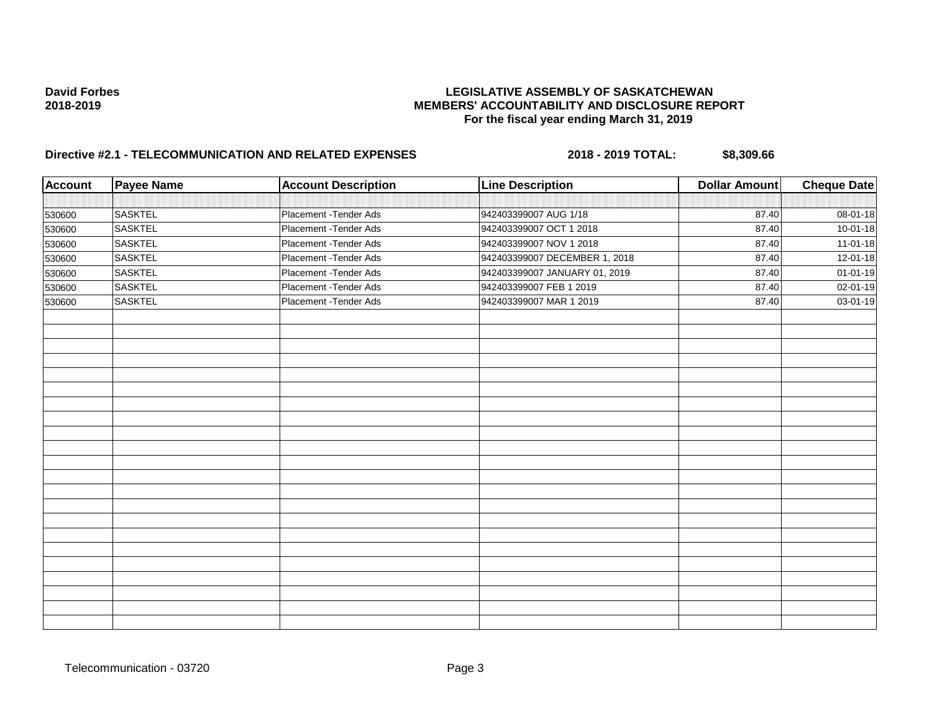| <b>Account</b> | <b>Payee Name</b> | <b>Account Description</b> | <b>Line Description</b>       | <b>Dollar Amount</b> | <b>Cheque Date</b> |
|----------------|-------------------|----------------------------|-------------------------------|----------------------|--------------------|
|                |                   |                            |                               |                      |                    |
| 530600         | <b>SASKTEL</b>    | Placement - Tender Ads     | 942403399007 AUG 1/18         | 87.40                | 08-01-18           |
| 530600         | <b>SASKTEL</b>    | Placement - Tender Ads     | 942403399007 OCT 1 2018       | 87.40                | $10 - 01 - 18$     |
| 530600         | <b>SASKTEL</b>    | Placement - Tender Ads     | 942403399007 NOV 1 2018       | 87.40                | $11 - 01 - 18$     |
| 530600         | <b>SASKTEL</b>    | Placement - Tender Ads     | 942403399007 DECEMBER 1, 2018 | 87.40                | 12-01-18           |
| 530600         | <b>SASKTEL</b>    | Placement - Tender Ads     | 942403399007 JANUARY 01, 2019 | 87.40                | $01 - 01 - 19$     |
| 530600         | <b>SASKTEL</b>    | Placement - Tender Ads     | 942403399007 FEB 1 2019       | 87.40                | 02-01-19           |
| 530600         | <b>SASKTEL</b>    | Placement - Tender Ads     | 942403399007 MAR 1 2019       | 87.40                | 03-01-19           |
|                |                   |                            |                               |                      |                    |
|                |                   |                            |                               |                      |                    |
|                |                   |                            |                               |                      |                    |
|                |                   |                            |                               |                      |                    |
|                |                   |                            |                               |                      |                    |
|                |                   |                            |                               |                      |                    |
|                |                   |                            |                               |                      |                    |
|                |                   |                            |                               |                      |                    |
|                |                   |                            |                               |                      |                    |
|                |                   |                            |                               |                      |                    |
|                |                   |                            |                               |                      |                    |
|                |                   |                            |                               |                      |                    |
|                |                   |                            |                               |                      |                    |
|                |                   |                            |                               |                      |                    |
|                |                   |                            |                               |                      |                    |
|                |                   |                            |                               |                      |                    |
|                |                   |                            |                               |                      |                    |
|                |                   |                            |                               |                      |                    |
|                |                   |                            |                               |                      |                    |
|                |                   |                            |                               |                      |                    |
|                |                   |                            |                               |                      |                    |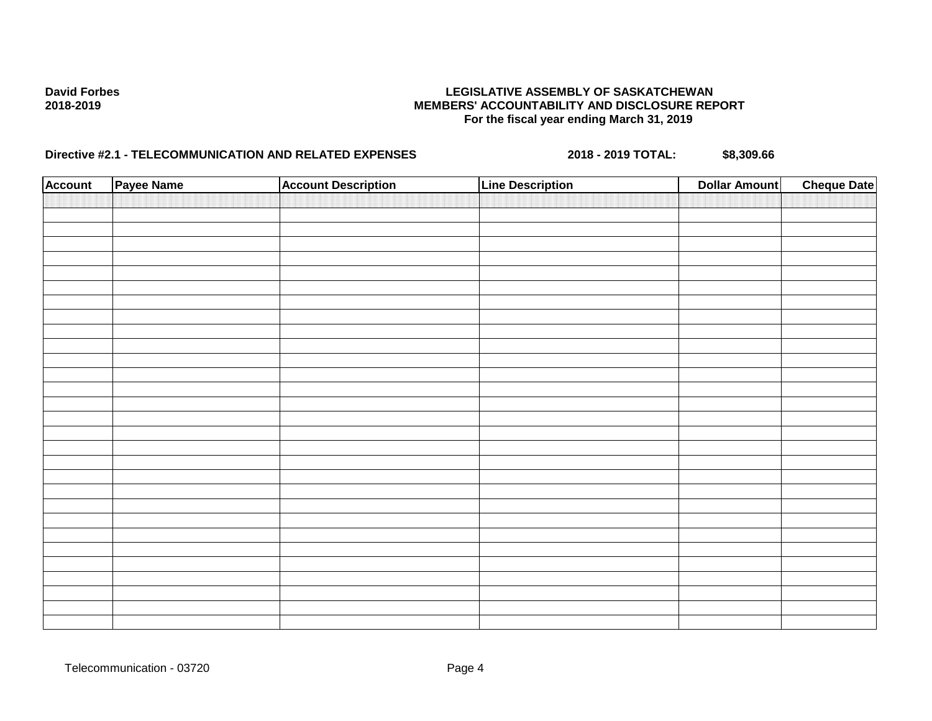| <b>Account</b> | Payee Name | <b>Account Description</b> | <b>Line Description</b> | <b>Dollar Amount</b> | <b>Cheque Date</b> |
|----------------|------------|----------------------------|-------------------------|----------------------|--------------------|
|                |            |                            |                         |                      |                    |
|                |            |                            |                         |                      |                    |
|                |            |                            |                         |                      |                    |
|                |            |                            |                         |                      |                    |
|                |            |                            |                         |                      |                    |
|                |            |                            |                         |                      |                    |
|                |            |                            |                         |                      |                    |
|                |            |                            |                         |                      |                    |
|                |            |                            |                         |                      |                    |
|                |            |                            |                         |                      |                    |
|                |            |                            |                         |                      |                    |
|                |            |                            |                         |                      |                    |
|                |            |                            |                         |                      |                    |
|                |            |                            |                         |                      |                    |
|                |            |                            |                         |                      |                    |
|                |            |                            |                         |                      |                    |
|                |            |                            |                         |                      |                    |
|                |            |                            |                         |                      |                    |
|                |            |                            |                         |                      |                    |
|                |            |                            |                         |                      |                    |
|                |            |                            |                         |                      |                    |
|                |            |                            |                         |                      |                    |
|                |            |                            |                         |                      |                    |
|                |            |                            |                         |                      |                    |
|                |            |                            |                         |                      |                    |
|                |            |                            |                         |                      |                    |
|                |            |                            |                         |                      |                    |
|                |            |                            |                         |                      |                    |
|                |            |                            |                         |                      |                    |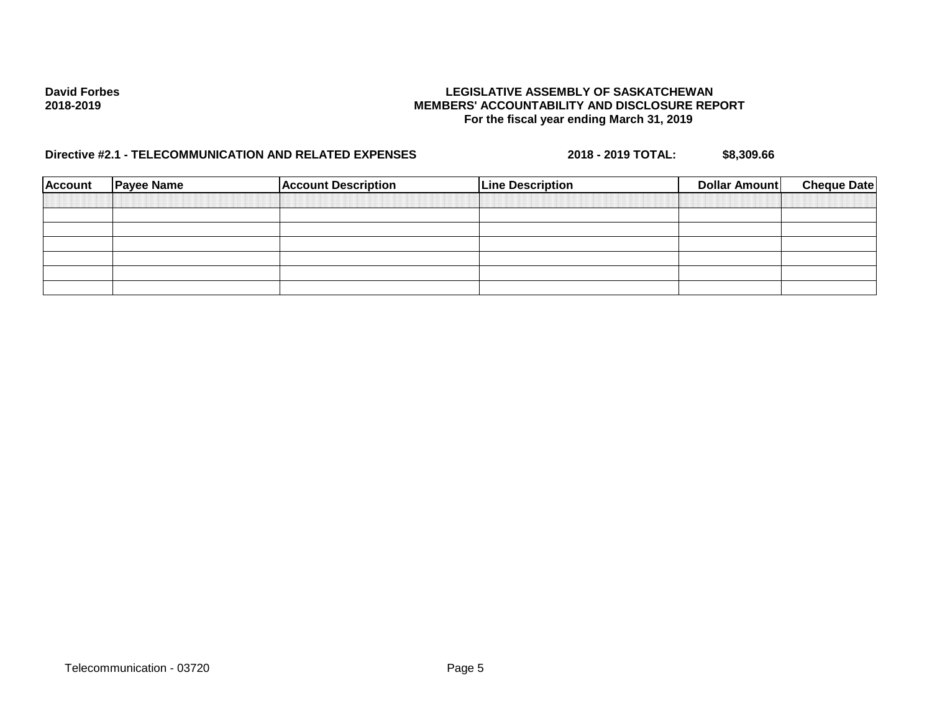| <b>Account</b> | <b>Payee Name</b> | <b>Account Description</b> | <b>Line Description</b> | <b>Dollar Amount</b> | <b>Cheque Date</b> |
|----------------|-------------------|----------------------------|-------------------------|----------------------|--------------------|
|                |                   |                            |                         |                      |                    |
|                |                   |                            |                         |                      |                    |
|                |                   |                            |                         |                      |                    |
|                |                   |                            |                         |                      |                    |
|                |                   |                            |                         |                      |                    |
|                |                   |                            |                         |                      |                    |
|                |                   |                            |                         |                      |                    |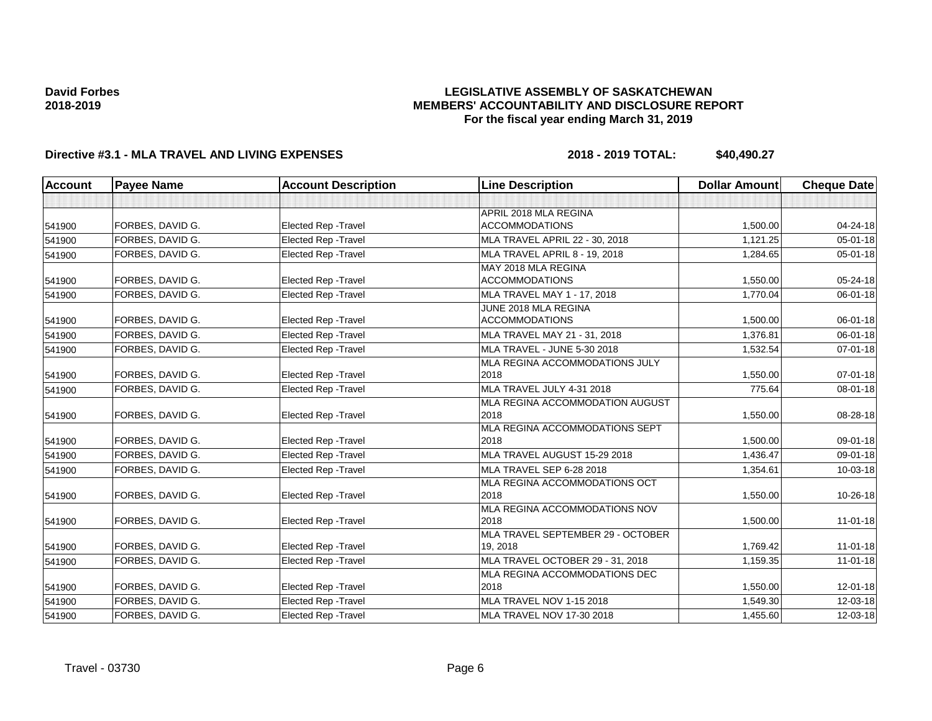### **LEGISLATIVE ASSEMBLY OF SASKATCHEWAN MEMBERS' ACCOUNTABILITY AND DISCLOSURE REPORT For the fiscal year ending March 31, 2019**

| <b>Account</b> | <b>Payee Name</b> | <b>Account Description</b>  | <b>Line Description</b>           | <b>Dollar Amount</b> | <b>Cheque Date</b> |
|----------------|-------------------|-----------------------------|-----------------------------------|----------------------|--------------------|
|                |                   |                             |                                   |                      |                    |
|                |                   |                             | APRIL 2018 MLA REGINA             |                      |                    |
| 541900         | FORBES, DAVID G.  | <b>Elected Rep - Travel</b> | <b>ACCOMMODATIONS</b>             | 1,500.00             | 04-24-18           |
| 541900         | FORBES, DAVID G.  | <b>Elected Rep - Travel</b> | MLA TRAVEL APRIL 22 - 30, 2018    | 1,121.25             | $05 - 01 - 18$     |
| 541900         | FORBES, DAVID G.  | Elected Rep - Travel        | MLA TRAVEL APRIL 8 - 19, 2018     | 1,284.65             | 05-01-18           |
|                |                   |                             | MAY 2018 MLA REGINA               |                      |                    |
| 541900         | FORBES, DAVID G.  | Elected Rep - Travel        | <b>ACCOMMODATIONS</b>             | 1,550.00             | 05-24-18           |
| 541900         | FORBES. DAVID G.  | <b>Elected Rep - Travel</b> | MLA TRAVEL MAY 1 - 17, 2018       | 1,770.04             | 06-01-18           |
|                |                   |                             | JUNE 2018 MLA REGINA              |                      |                    |
| 541900         | FORBES, DAVID G.  | <b>Elected Rep - Travel</b> | <b>ACCOMMODATIONS</b>             | 1,500.00             | 06-01-18           |
| 541900         | FORBES, DAVID G.  | Elected Rep - Travel        | MLA TRAVEL MAY 21 - 31, 2018      | 1,376.81             | $06 - 01 - 18$     |
| 541900         | FORBES, DAVID G.  | Elected Rep - Travel        | MLA TRAVEL - JUNE 5-30 2018       | 1,532.54             | $07 - 01 - 18$     |
|                |                   |                             | MLA REGINA ACCOMMODATIONS JULY    |                      |                    |
| 541900         | FORBES, DAVID G.  | <b>Elected Rep - Travel</b> | 2018                              | 1,550.00             | $07 - 01 - 18$     |
| 541900         | FORBES, DAVID G.  | Elected Rep - Travel        | MLA TRAVEL JULY 4-31 2018         | 775.64               | 08-01-18           |
|                |                   |                             | MLA REGINA ACCOMMODATION AUGUST   |                      |                    |
| 541900         | FORBES, DAVID G.  | <b>Elected Rep - Travel</b> | 2018                              | 1,550.00             | 08-28-18           |
|                |                   |                             | MLA REGINA ACCOMMODATIONS SEPT    |                      |                    |
| 541900         | FORBES, DAVID G.  | <b>Elected Rep - Travel</b> | 2018                              | 1,500.00             | 09-01-18           |
| 541900         | FORBES, DAVID G.  | Elected Rep - Travel        | MLA TRAVEL AUGUST 15-29 2018      | 1,436.47             | $09 - 01 - 18$     |
| 541900         | FORBES, DAVID G.  | <b>Elected Rep - Travel</b> | MLA TRAVEL SEP 6-28 2018          | 1,354.61             | 10-03-18           |
|                |                   |                             | MLA REGINA ACCOMMODATIONS OCT     |                      |                    |
| 541900         | FORBES, DAVID G.  | <b>Elected Rep - Travel</b> | 2018                              | 1,550.00             | 10-26-18           |
|                |                   |                             | MLA REGINA ACCOMMODATIONS NOV     |                      |                    |
| 541900         | FORBES, DAVID G.  | <b>Elected Rep - Travel</b> | 2018                              | 1,500.00             | $11 - 01 - 18$     |
|                |                   |                             | MLA TRAVEL SEPTEMBER 29 - OCTOBER |                      |                    |
| 541900         | FORBES, DAVID G.  | <b>Elected Rep - Travel</b> | 19, 2018                          | 1,769.42             | $11 - 01 - 18$     |
| 541900         | FORBES, DAVID G.  | Elected Rep - Travel        | MLA TRAVEL OCTOBER 29 - 31, 2018  | 1,159.35             | $11-01-18$         |
|                |                   |                             | MLA REGINA ACCOMMODATIONS DEC     |                      |                    |
| 541900         | FORBES, DAVID G.  | Elected Rep - Travel        | 2018                              | 1,550.00             | 12-01-18           |
| 541900         | FORBES, DAVID G.  | Elected Rep - Travel        | MLA TRAVEL NOV 1-15 2018          | 1,549.30             | $12 - 03 - 18$     |
| 541900         | FORBES, DAVID G.  | <b>Elected Rep - Travel</b> | MLA TRAVEL NOV 17-30 2018         | 1,455.60             | 12-03-18           |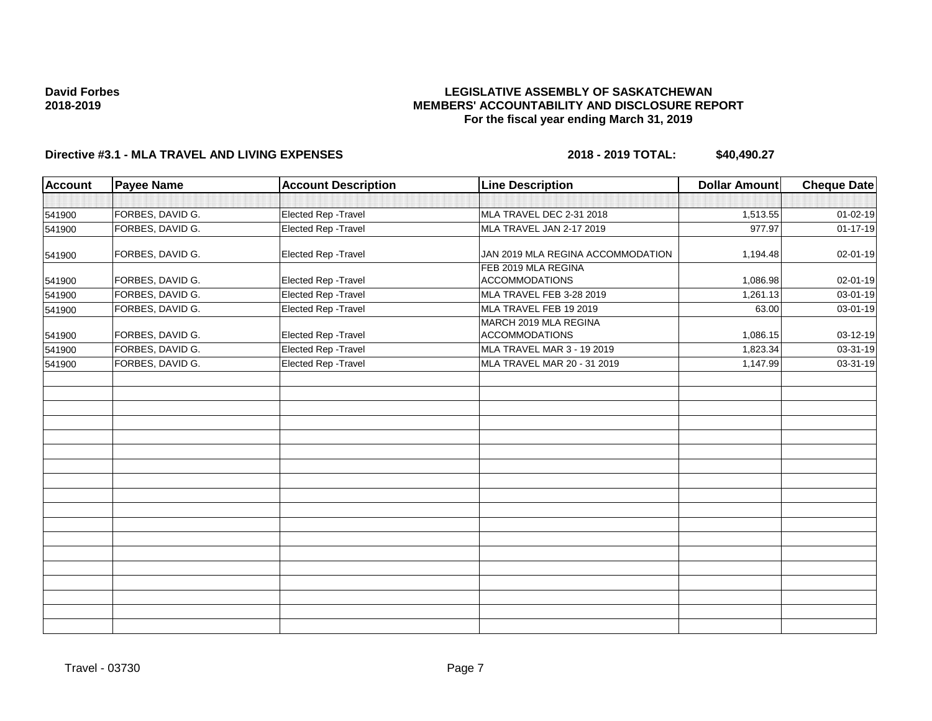### **LEGISLATIVE ASSEMBLY OF SASKATCHEWAN MEMBERS' ACCOUNTABILITY AND DISCLOSURE REPORT For the fiscal year ending March 31, 2019**

| <b>Account</b> | <b>Payee Name</b> | <b>Account Description</b> | <b>Line Description</b>                        | <b>Dollar Amount</b> | <b>Cheque Date</b> |
|----------------|-------------------|----------------------------|------------------------------------------------|----------------------|--------------------|
|                |                   |                            |                                                |                      |                    |
| 541900         | FORBES, DAVID G.  | Elected Rep - Travel       | MLA TRAVEL DEC 2-31 2018                       | 1,513.55             | $01 - 02 - 19$     |
| 541900         | FORBES, DAVID G.  | Elected Rep - Travel       | MLA TRAVEL JAN 2-17 2019                       | 977.97               | $01 - 17 - 19$     |
| 541900         | FORBES, DAVID G.  | Elected Rep - Travel       | JAN 2019 MLA REGINA ACCOMMODATION              | 1,194.48             | 02-01-19           |
| 541900         | FORBES, DAVID G.  | Elected Rep - Travel       | FEB 2019 MLA REGINA<br><b>ACCOMMODATIONS</b>   | 1,086.98             | 02-01-19           |
| 541900         | FORBES, DAVID G.  | Elected Rep - Travel       | MLA TRAVEL FEB 3-28 2019                       | 1,261.13             | 03-01-19           |
| 541900         | FORBES, DAVID G.  | Elected Rep - Travel       | MLA TRAVEL FEB 19 2019                         | 63.00                | 03-01-19           |
| 541900         | FORBES, DAVID G.  | Elected Rep - Travel       | MARCH 2019 MLA REGINA<br><b>ACCOMMODATIONS</b> | 1,086.15             | 03-12-19           |
| 541900         | FORBES, DAVID G.  | Elected Rep - Travel       | MLA TRAVEL MAR 3 - 19 2019                     | 1,823.34             | 03-31-19           |
| 541900         | FORBES, DAVID G.  | Elected Rep - Travel       | MLA TRAVEL MAR 20 - 31 2019                    | 1,147.99             | 03-31-19           |
|                |                   |                            |                                                |                      |                    |
|                |                   |                            |                                                |                      |                    |
|                |                   |                            |                                                |                      |                    |
|                |                   |                            |                                                |                      |                    |
|                |                   |                            |                                                |                      |                    |
|                |                   |                            |                                                |                      |                    |
|                |                   |                            |                                                |                      |                    |
|                |                   |                            |                                                |                      |                    |
|                |                   |                            |                                                |                      |                    |
|                |                   |                            |                                                |                      |                    |
|                |                   |                            |                                                |                      |                    |
|                |                   |                            |                                                |                      |                    |
|                |                   |                            |                                                |                      |                    |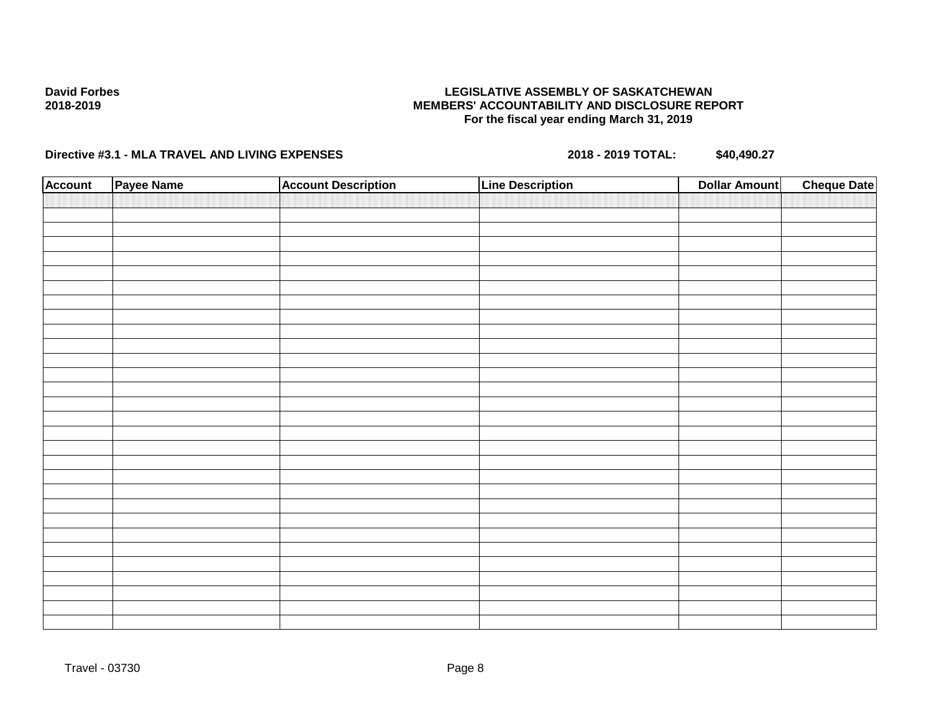### **LEGISLATIVE ASSEMBLY OF SASKATCHEWAN MEMBERS' ACCOUNTABILITY AND DISCLOSURE REPORT For the fiscal year ending March 31, 2019**

| <b>Account</b> | Payee Name | <b>Account Description</b> | <b>Line Description</b> | <b>Dollar Amount</b> | <b>Cheque Date</b> |
|----------------|------------|----------------------------|-------------------------|----------------------|--------------------|
|                |            |                            |                         |                      |                    |
|                |            |                            |                         |                      |                    |
|                |            |                            |                         |                      |                    |
|                |            |                            |                         |                      |                    |
|                |            |                            |                         |                      |                    |
|                |            |                            |                         |                      |                    |
|                |            |                            |                         |                      |                    |
|                |            |                            |                         |                      |                    |
|                |            |                            |                         |                      |                    |
|                |            |                            |                         |                      |                    |
|                |            |                            |                         |                      |                    |
|                |            |                            |                         |                      |                    |
|                |            |                            |                         |                      |                    |
|                |            |                            |                         |                      |                    |
|                |            |                            |                         |                      |                    |
|                |            |                            |                         |                      |                    |
|                |            |                            |                         |                      |                    |
|                |            |                            |                         |                      |                    |
|                |            |                            |                         |                      |                    |
|                |            |                            |                         |                      |                    |
|                |            |                            |                         |                      |                    |
|                |            |                            |                         |                      |                    |
|                |            |                            |                         |                      |                    |
|                |            |                            |                         |                      |                    |
|                |            |                            |                         |                      |                    |
|                |            |                            |                         |                      |                    |
|                |            |                            |                         |                      |                    |
|                |            |                            |                         |                      |                    |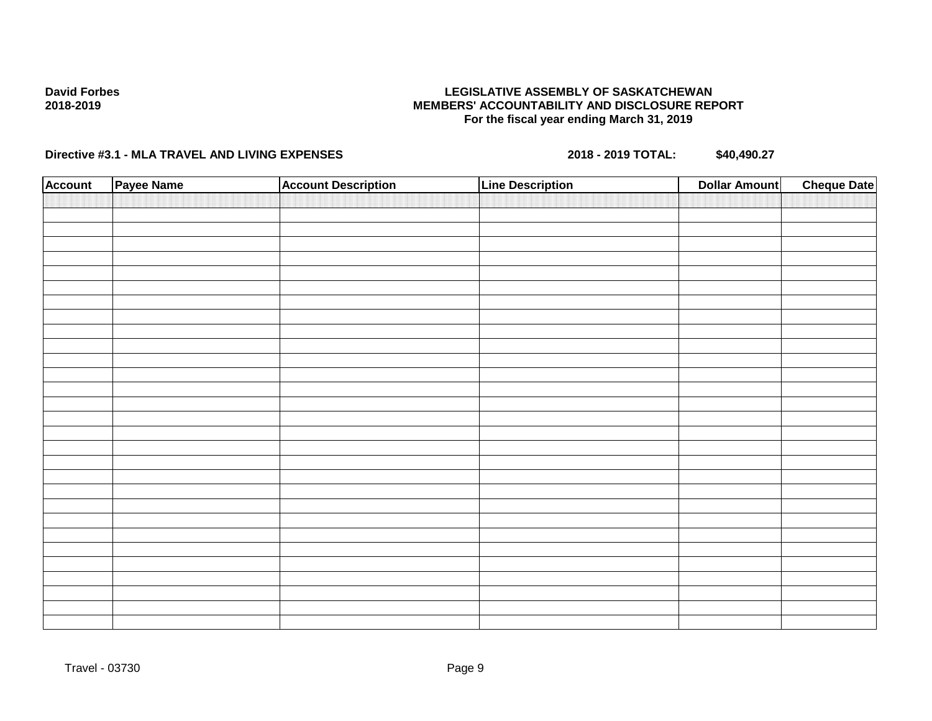### **LEGISLATIVE ASSEMBLY OF SASKATCHEWAN MEMBERS' ACCOUNTABILITY AND DISCLOSURE REPORT For the fiscal year ending March 31, 2019**

| <b>Account</b> | Payee Name | <b>Account Description</b> | <b>Line Description</b> | <b>Dollar Amount</b> | <b>Cheque Date</b> |
|----------------|------------|----------------------------|-------------------------|----------------------|--------------------|
|                |            |                            |                         |                      |                    |
|                |            |                            |                         |                      |                    |
|                |            |                            |                         |                      |                    |
|                |            |                            |                         |                      |                    |
|                |            |                            |                         |                      |                    |
|                |            |                            |                         |                      |                    |
|                |            |                            |                         |                      |                    |
|                |            |                            |                         |                      |                    |
|                |            |                            |                         |                      |                    |
|                |            |                            |                         |                      |                    |
|                |            |                            |                         |                      |                    |
|                |            |                            |                         |                      |                    |
|                |            |                            |                         |                      |                    |
|                |            |                            |                         |                      |                    |
|                |            |                            |                         |                      |                    |
|                |            |                            |                         |                      |                    |
|                |            |                            |                         |                      |                    |
|                |            |                            |                         |                      |                    |
|                |            |                            |                         |                      |                    |
|                |            |                            |                         |                      |                    |
|                |            |                            |                         |                      |                    |
|                |            |                            |                         |                      |                    |
|                |            |                            |                         |                      |                    |
|                |            |                            |                         |                      |                    |
|                |            |                            |                         |                      |                    |
|                |            |                            |                         |                      |                    |
|                |            |                            |                         |                      |                    |
|                |            |                            |                         |                      |                    |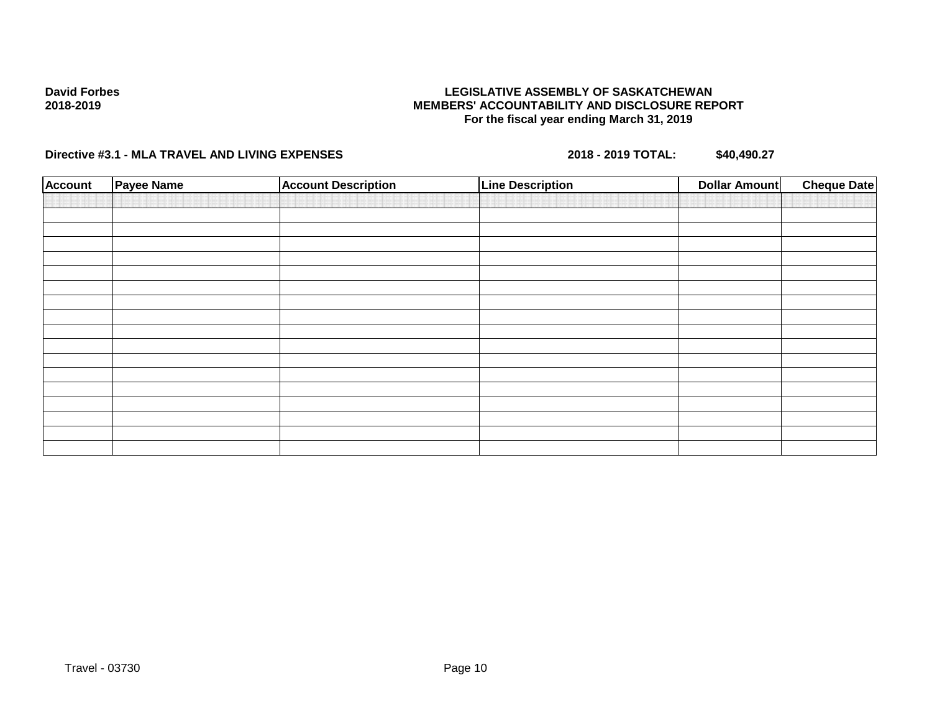### **LEGISLATIVE ASSEMBLY OF SASKATCHEWAN MEMBERS' ACCOUNTABILITY AND DISCLOSURE REPORT For the fiscal year ending March 31, 2019**

| <b>Account</b> | <b>Payee Name</b> | <b>Account Description</b> | <b>Line Description</b> | <b>Dollar Amount</b> | <b>Cheque Date</b> |
|----------------|-------------------|----------------------------|-------------------------|----------------------|--------------------|
|                |                   |                            |                         |                      |                    |
|                |                   |                            |                         |                      |                    |
|                |                   |                            |                         |                      |                    |
|                |                   |                            |                         |                      |                    |
|                |                   |                            |                         |                      |                    |
|                |                   |                            |                         |                      |                    |
|                |                   |                            |                         |                      |                    |
|                |                   |                            |                         |                      |                    |
|                |                   |                            |                         |                      |                    |
|                |                   |                            |                         |                      |                    |
|                |                   |                            |                         |                      |                    |
|                |                   |                            |                         |                      |                    |
|                |                   |                            |                         |                      |                    |
|                |                   |                            |                         |                      |                    |
|                |                   |                            |                         |                      |                    |
|                |                   |                            |                         |                      |                    |
|                |                   |                            |                         |                      |                    |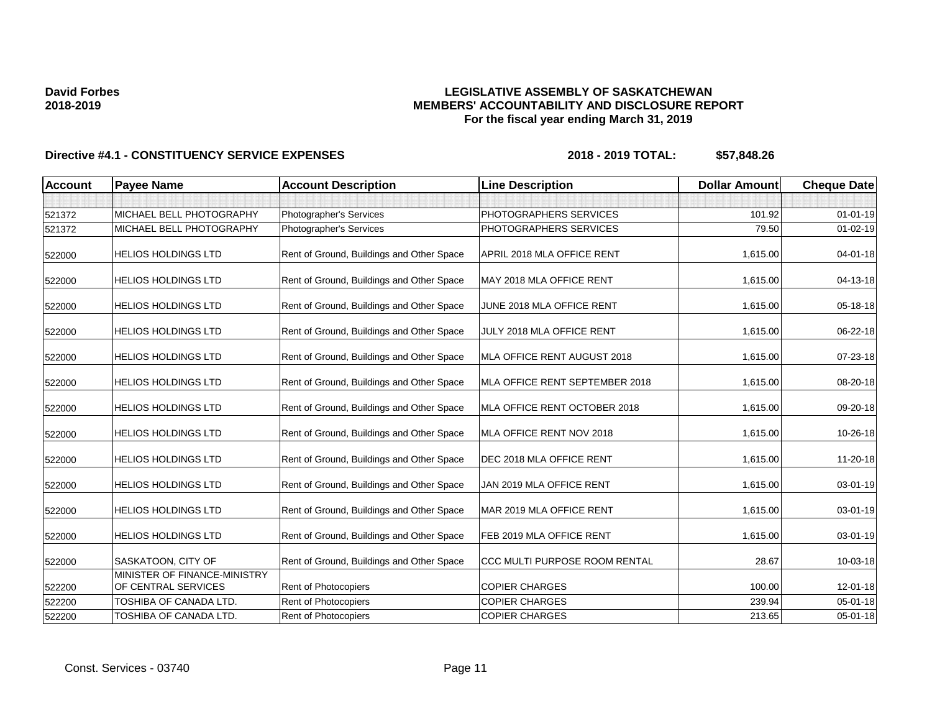### **LEGISLATIVE ASSEMBLY OF SASKATCHEWAN MEMBERS' ACCOUNTABILITY AND DISCLOSURE REPORT For the fiscal year ending March 31, 2019**

| <b>Account</b> | <b>Payee Name</b>                                   | <b>Account Description</b>                | <b>Line Description</b>        | <b>Dollar Amount</b> | <b>Cheque Date</b> |
|----------------|-----------------------------------------------------|-------------------------------------------|--------------------------------|----------------------|--------------------|
|                |                                                     |                                           |                                |                      |                    |
| 521372         | MICHAEL BELL PHOTOGRAPHY                            | Photographer's Services                   | PHOTOGRAPHERS SERVICES         | 101.92               | $01 - 01 - 19$     |
| 521372         | MICHAEL BELL PHOTOGRAPHY                            | Photographer's Services                   | PHOTOGRAPHERS SERVICES         | 79.50                | $01 - 02 - 19$     |
| 522000         | <b>HELIOS HOLDINGS LTD</b>                          | Rent of Ground, Buildings and Other Space | APRIL 2018 MLA OFFICE RENT     | 1,615.00             | $04 - 01 - 18$     |
| 522000         | HELIOS HOLDINGS LTD                                 | Rent of Ground, Buildings and Other Space | MAY 2018 MLA OFFICE RENT       | 1,615.00             | 04-13-18           |
| 522000         | <b>HELIOS HOLDINGS LTD</b>                          | Rent of Ground, Buildings and Other Space | JUNE 2018 MLA OFFICE RENT      | 1,615.00             | 05-18-18           |
| 522000         | <b>HELIOS HOLDINGS LTD</b>                          | Rent of Ground, Buildings and Other Space | JULY 2018 MLA OFFICE RENT      | 1,615.00             | 06-22-18           |
| 522000         | <b>HELIOS HOLDINGS LTD</b>                          | Rent of Ground, Buildings and Other Space | MLA OFFICE RENT AUGUST 2018    | 1,615.00             | 07-23-18           |
| 522000         | HELIOS HOLDINGS LTD                                 | Rent of Ground, Buildings and Other Space | MLA OFFICE RENT SEPTEMBER 2018 | 1,615.00             | 08-20-18           |
| 522000         | <b>HELIOS HOLDINGS LTD</b>                          | Rent of Ground, Buildings and Other Space | MLA OFFICE RENT OCTOBER 2018   | 1,615.00             | 09-20-18           |
| 522000         | HELIOS HOLDINGS LTD                                 | Rent of Ground, Buildings and Other Space | MLA OFFICE RENT NOV 2018       | 1,615.00             | 10-26-18           |
| 522000         | <b>HELIOS HOLDINGS LTD</b>                          | Rent of Ground, Buildings and Other Space | DEC 2018 MLA OFFICE RENT       | 1,615.00             | 11-20-18           |
| 522000         | HELIOS HOLDINGS LTD                                 | Rent of Ground, Buildings and Other Space | JAN 2019 MLA OFFICE RENT       | 1,615.00             | 03-01-19           |
| 522000         | HELIOS HOLDINGS LTD                                 | Rent of Ground, Buildings and Other Space | MAR 2019 MLA OFFICE RENT       | 1,615.00             | $03 - 01 - 19$     |
| 522000         | HELIOS HOLDINGS LTD                                 | Rent of Ground, Buildings and Other Space | FEB 2019 MLA OFFICE RENT       | 1,615.00             | 03-01-19           |
| 522000         | SASKATOON, CITY OF                                  | Rent of Ground, Buildings and Other Space | CCC MULTI PURPOSE ROOM RENTAL  | 28.67                | 10-03-18           |
| 522200         | MINISTER OF FINANCE-MINISTRY<br>OF CENTRAL SERVICES | Rent of Photocopiers                      | <b>COPIER CHARGES</b>          | 100.00               | 12-01-18           |
| 522200         | TOSHIBA OF CANADA LTD.                              | Rent of Photocopiers                      | <b>COPIER CHARGES</b>          | 239.94               | 05-01-18           |
| 522200         | TOSHIBA OF CANADA LTD.                              | Rent of Photocopiers                      | <b>COPIER CHARGES</b>          | 213.65               | $05 - 01 - 18$     |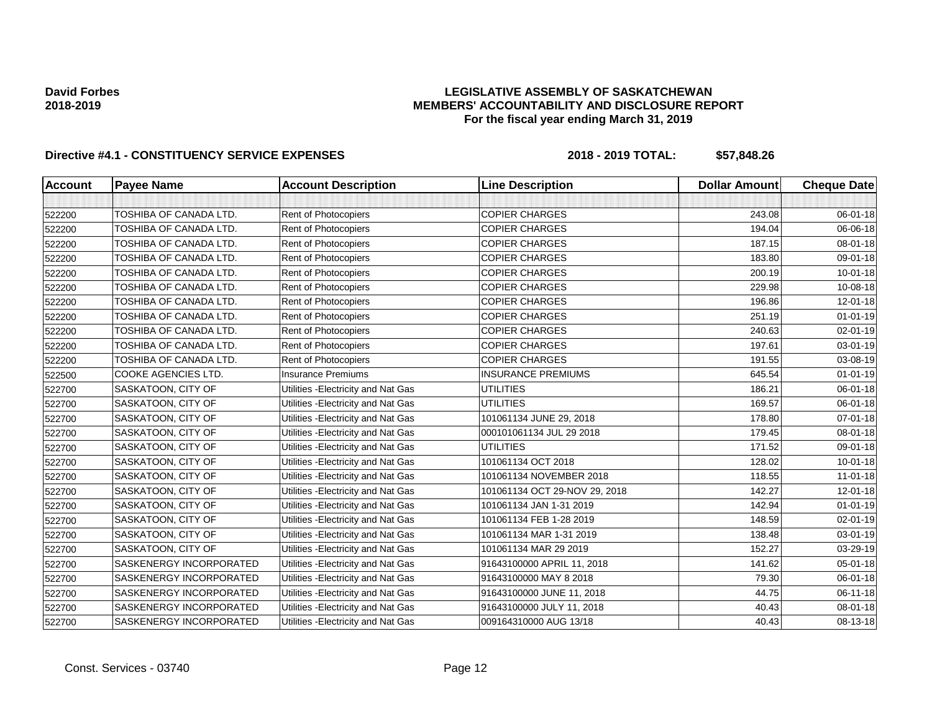### **LEGISLATIVE ASSEMBLY OF SASKATCHEWAN MEMBERS' ACCOUNTABILITY AND DISCLOSURE REPORT For the fiscal year ending March 31, 2019**

| <b>Account</b> | <b>Payee Name</b>          | <b>Account Description</b>          | <b>Line Description</b>       | <b>Dollar Amount</b> | <b>Cheque Date</b> |
|----------------|----------------------------|-------------------------------------|-------------------------------|----------------------|--------------------|
|                |                            |                                     |                               |                      |                    |
| 522200         | TOSHIBA OF CANADA LTD.     | Rent of Photocopiers                | <b>COPIER CHARGES</b>         | 243.08               | 06-01-18           |
| 522200         | TOSHIBA OF CANADA LTD.     | Rent of Photocopiers                | <b>COPIER CHARGES</b>         | 194.04               | 06-06-18           |
| 522200         | TOSHIBA OF CANADA LTD.     | Rent of Photocopiers                | <b>COPIER CHARGES</b>         | 187.15               | 08-01-18           |
| 522200         | TOSHIBA OF CANADA LTD.     | Rent of Photocopiers                | <b>COPIER CHARGES</b>         | 183.80               | 09-01-18           |
| 522200         | TOSHIBA OF CANADA LTD.     | Rent of Photocopiers                | <b>COPIER CHARGES</b>         | 200.19               | $10 - 01 - 18$     |
| 522200         | TOSHIBA OF CANADA LTD.     | Rent of Photocopiers                | <b>COPIER CHARGES</b>         | 229.98               | 10-08-18           |
| 522200         | TOSHIBA OF CANADA LTD.     | Rent of Photocopiers                | <b>COPIER CHARGES</b>         | 196.86               | $12 - 01 - 18$     |
| 522200         | TOSHIBA OF CANADA LTD.     | Rent of Photocopiers                | <b>COPIER CHARGES</b>         | 251.19               | $01 - 01 - 19$     |
| 522200         | TOSHIBA OF CANADA LTD.     | Rent of Photocopiers                | <b>COPIER CHARGES</b>         | 240.63               | 02-01-19           |
| 522200         | TOSHIBA OF CANADA LTD.     | Rent of Photocopiers                | <b>COPIER CHARGES</b>         | 197.61               | 03-01-19           |
| 522200         | TOSHIBA OF CANADA LTD.     | Rent of Photocopiers                | <b>COPIER CHARGES</b>         | 191.55               | 03-08-19           |
| 522500         | <b>COOKE AGENCIES LTD.</b> | <b>Insurance Premiums</b>           | <b>INSURANCE PREMIUMS</b>     | 645.54               | $01 - 01 - 19$     |
| 522700         | SASKATOON, CITY OF         | Utilities - Electricity and Nat Gas | <b>UTILITIES</b>              | 186.21               | 06-01-18           |
| 522700         | SASKATOON, CITY OF         | Utilities - Electricity and Nat Gas | <b>UTILITIES</b>              | 169.57               | 06-01-18           |
| 522700         | SASKATOON, CITY OF         | Utilities - Electricity and Nat Gas | 101061134 JUNE 29, 2018       | 178.80               | $07 - 01 - 18$     |
| 522700         | SASKATOON, CITY OF         | Utilities - Electricity and Nat Gas | 000101061134 JUL 29 2018      | 179.45               | 08-01-18           |
| 522700         | SASKATOON, CITY OF         | Utilities - Electricity and Nat Gas | <b>UTILITIES</b>              | 171.52               | 09-01-18           |
| 522700         | SASKATOON, CITY OF         | Utilities - Electricity and Nat Gas | 101061134 OCT 2018            | 128.02               | $10 - 01 - 18$     |
| 522700         | SASKATOON, CITY OF         | Utilities - Electricity and Nat Gas | 101061134 NOVEMBER 2018       | 118.55               | $11-01-18$         |
| 522700         | SASKATOON, CITY OF         | Utilities - Electricity and Nat Gas | 101061134 OCT 29-NOV 29, 2018 | 142.27               | 12-01-18           |
| 522700         | SASKATOON, CITY OF         | Utilities - Electricity and Nat Gas | 101061134 JAN 1-31 2019       | 142.94               | $01 - 01 - 19$     |
| 522700         | SASKATOON, CITY OF         | Utilities - Electricity and Nat Gas | 101061134 FEB 1-28 2019       | 148.59               | 02-01-19           |
| 522700         | SASKATOON, CITY OF         | Utilities - Electricity and Nat Gas | 101061134 MAR 1-31 2019       | 138.48               | 03-01-19           |
| 522700         | SASKATOON, CITY OF         | Utilities - Electricity and Nat Gas | 101061134 MAR 29 2019         | 152.27               | 03-29-19           |
| 522700         | SASKENERGY INCORPORATED    | Utilities - Electricity and Nat Gas | 91643100000 APRIL 11, 2018    | 141.62               | $05 - 01 - 18$     |
| 522700         | SASKENERGY INCORPORATED    | Utilities - Electricity and Nat Gas | 91643100000 MAY 8 2018        | 79.30                | 06-01-18           |
| 522700         | SASKENERGY INCORPORATED    | Utilities - Electricity and Nat Gas | 91643100000 JUNE 11, 2018     | 44.75                | 06-11-18           |
| 522700         | SASKENERGY INCORPORATED    | Utilities - Electricity and Nat Gas | 91643100000 JULY 11, 2018     | 40.43                | 08-01-18           |
| 522700         | SASKENERGY INCORPORATED    | Utilities - Electricity and Nat Gas | 009164310000 AUG 13/18        | 40.43                | 08-13-18           |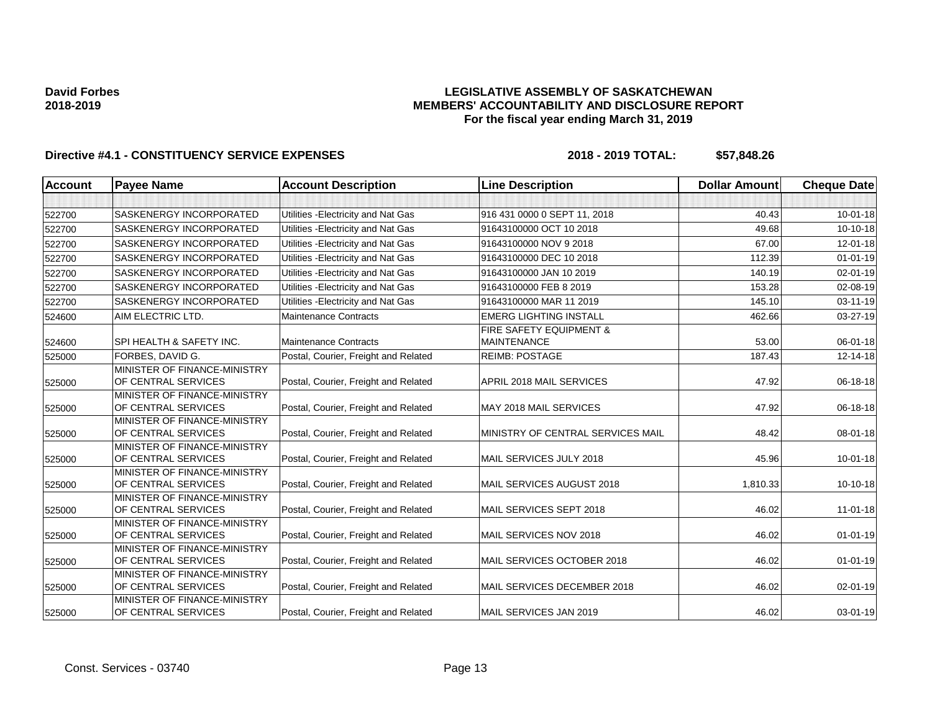### **LEGISLATIVE ASSEMBLY OF SASKATCHEWAN MEMBERS' ACCOUNTABILITY AND DISCLOSURE REPORT For the fiscal year ending March 31, 2019**

| <b>Account</b><br><b>Payee Name</b> |                                                     | <b>Account Description</b>           | <b>Line Description</b>                       | <b>Dollar Amount</b> | <b>Cheque Date</b> |
|-------------------------------------|-----------------------------------------------------|--------------------------------------|-----------------------------------------------|----------------------|--------------------|
|                                     |                                                     |                                      |                                               |                      |                    |
| 522700                              | <b>SASKENERGY INCORPORATED</b>                      | Utilities - Electricity and Nat Gas  | 916 431 0000 0 SEPT 11, 2018                  | 40.43                | $10 - 01 - 18$     |
| 522700                              | <b>SASKENERGY INCORPORATED</b>                      | Utilities - Electricity and Nat Gas  | 91643100000 OCT 10 2018                       | 49.68                | 10-10-18           |
| 522700                              | <b>SASKENERGY INCORPORATED</b>                      | Utilities - Electricity and Nat Gas  | 91643100000 NOV 9 2018                        | 67.00                | $12 - 01 - 18$     |
| 522700                              | SASKENERGY INCORPORATED                             | Utilities - Electricity and Nat Gas  | 91643100000 DEC 10 2018                       | 112.39               | $01 - 01 - 19$     |
| 522700                              | <b>SASKENERGY INCORPORATED</b>                      | Utilities - Electricity and Nat Gas  | 91643100000 JAN 10 2019                       | 140.19               | 02-01-19           |
| 522700                              | SASKENERGY INCORPORATED                             | Utilities - Electricity and Nat Gas  | 91643100000 FEB 8 2019                        | 153.28               | 02-08-19           |
| 522700                              | <b>SASKENERGY INCORPORATED</b>                      | Utilities - Electricity and Nat Gas  | 91643100000 MAR 11 2019                       | 145.10               | 03-11-19           |
| 524600                              | AIM ELECTRIC LTD.                                   | <b>Maintenance Contracts</b>         | <b>EMERG LIGHTING INSTALL</b>                 | 462.66               | 03-27-19           |
| 524600                              | SPI HEALTH & SAFETY INC.                            | <b>Maintenance Contracts</b>         | FIRE SAFETY EQUIPMENT &<br><b>MAINTENANCE</b> | 53.00                | 06-01-18           |
| 525000                              | FORBES, DAVID G.                                    | Postal, Courier, Freight and Related | <b>REIMB: POSTAGE</b>                         | 187.43               | 12-14-18           |
| 525000                              | MINISTER OF FINANCE-MINISTRY<br>OF CENTRAL SERVICES | Postal, Courier, Freight and Related | APRIL 2018 MAIL SERVICES                      | 47.92                | 06-18-18           |
| 525000                              | MINISTER OF FINANCE-MINISTRY<br>OF CENTRAL SERVICES | Postal, Courier, Freight and Related | MAY 2018 MAIL SERVICES                        | 47.92                | 06-18-18           |
| 525000                              | MINISTER OF FINANCE-MINISTRY<br>OF CENTRAL SERVICES | Postal, Courier, Freight and Related | MINISTRY OF CENTRAL SERVICES MAIL             | 48.42                | 08-01-18           |
| 525000                              | MINISTER OF FINANCE-MINISTRY<br>OF CENTRAL SERVICES | Postal, Courier, Freight and Related | MAIL SERVICES JULY 2018                       | 45.96                | $10 - 01 - 18$     |
| 525000                              | MINISTER OF FINANCE-MINISTRY<br>OF CENTRAL SERVICES | Postal, Courier, Freight and Related | MAIL SERVICES AUGUST 2018                     | 1,810.33             | 10-10-18           |
| 525000                              | MINISTER OF FINANCE-MINISTRY<br>OF CENTRAL SERVICES | Postal, Courier, Freight and Related | MAIL SERVICES SEPT 2018                       | 46.02                | $11 - 01 - 18$     |
| 525000                              | MINISTER OF FINANCE-MINISTRY<br>OF CENTRAL SERVICES | Postal, Courier, Freight and Related | MAIL SERVICES NOV 2018                        | 46.02                | $01 - 01 - 19$     |
| 525000                              | MINISTER OF FINANCE-MINISTRY<br>OF CENTRAL SERVICES | Postal, Courier, Freight and Related | MAIL SERVICES OCTOBER 2018                    | 46.02                | $01 - 01 - 19$     |
| 525000                              | MINISTER OF FINANCE-MINISTRY<br>OF CENTRAL SERVICES | Postal, Courier, Freight and Related | MAIL SERVICES DECEMBER 2018                   | 46.02                | 02-01-19           |
| 525000                              | MINISTER OF FINANCE-MINISTRY<br>OF CENTRAL SERVICES | Postal, Courier, Freight and Related | MAIL SERVICES JAN 2019                        | 46.02                | 03-01-19           |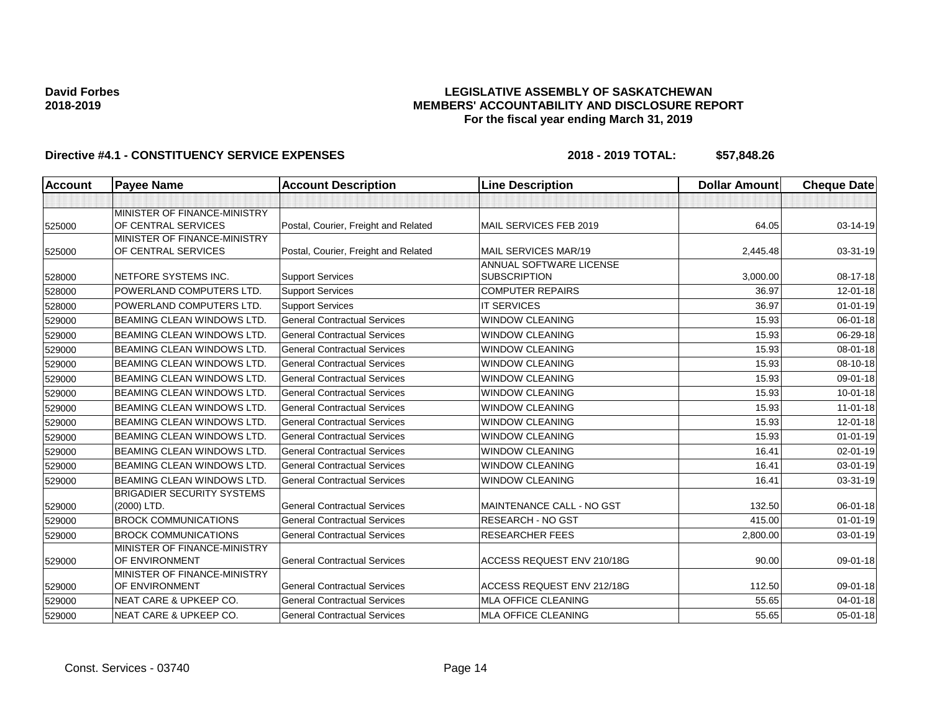### **LEGISLATIVE ASSEMBLY OF SASKATCHEWAN MEMBERS' ACCOUNTABILITY AND DISCLOSURE REPORT For the fiscal year ending March 31, 2019**

| <b>Account</b> | <b>Payee Name</b>                                   | <b>Account Description</b>           | <b>Line Description</b>                               | <b>Dollar Amount</b> | <b>Cheque Date</b> |
|----------------|-----------------------------------------------------|--------------------------------------|-------------------------------------------------------|----------------------|--------------------|
|                |                                                     |                                      |                                                       |                      |                    |
| 525000         | MINISTER OF FINANCE-MINISTRY<br>OF CENTRAL SERVICES | Postal, Courier, Freight and Related | MAIL SERVICES FEB 2019                                | 64.05                | 03-14-19           |
| 525000         | MINISTER OF FINANCE-MINISTRY<br>OF CENTRAL SERVICES | Postal, Courier, Freight and Related | <b>MAIL SERVICES MAR/19</b>                           | 2,445.48             | 03-31-19           |
| 528000         | NETFORE SYSTEMS INC.                                | <b>Support Services</b>              | <b>ANNUAL SOFTWARE LICENSE</b><br><b>SUBSCRIPTION</b> | 3,000.00             | 08-17-18           |
| 528000         | POWERLAND COMPUTERS LTD.                            | <b>Support Services</b>              | <b>COMPUTER REPAIRS</b>                               | 36.97                | 12-01-18           |
| 528000         | POWERLAND COMPUTERS LTD.                            | <b>Support Services</b>              | <b>IT SERVICES</b>                                    | 36.97                | $01 - 01 - 19$     |
| 529000         | BEAMING CLEAN WINDOWS LTD.                          | <b>General Contractual Services</b>  | <b>WINDOW CLEANING</b>                                | 15.93                | 06-01-18           |
| 529000         | <b>BEAMING CLEAN WINDOWS LTD.</b>                   | <b>General Contractual Services</b>  | <b>WINDOW CLEANING</b>                                | 15.93                | 06-29-18           |
| 529000         | <b>BEAMING CLEAN WINDOWS LTD.</b>                   | <b>General Contractual Services</b>  | <b>WINDOW CLEANING</b>                                | 15.93                | 08-01-18           |
| 529000         | <b>BEAMING CLEAN WINDOWS LTD.</b>                   | <b>General Contractual Services</b>  | <b>WINDOW CLEANING</b>                                | 15.93                | 08-10-18           |
| 529000         | <b>BEAMING CLEAN WINDOWS LTD.</b>                   | <b>General Contractual Services</b>  | <b>WINDOW CLEANING</b>                                | 15.93                | 09-01-18           |
| 529000         | <b>BEAMING CLEAN WINDOWS LTD.</b>                   | <b>General Contractual Services</b>  | <b>WINDOW CLEANING</b>                                | 15.93                | 10-01-18           |
| 529000         | <b>BEAMING CLEAN WINDOWS LTD.</b>                   | <b>General Contractual Services</b>  | <b>WINDOW CLEANING</b>                                | 15.93                | $11-01-18$         |
| 529000         | <b>BEAMING CLEAN WINDOWS LTD.</b>                   | <b>General Contractual Services</b>  | <b>WINDOW CLEANING</b>                                | 15.93                | 12-01-18           |
| 529000         | <b>BEAMING CLEAN WINDOWS LTD.</b>                   | <b>General Contractual Services</b>  | <b>WINDOW CLEANING</b>                                | 15.93                | $01 - 01 - 19$     |
| 529000         | <b>BEAMING CLEAN WINDOWS LTD.</b>                   | <b>General Contractual Services</b>  | <b>WINDOW CLEANING</b>                                | 16.41                | 02-01-19           |
| 529000         | <b>BEAMING CLEAN WINDOWS LTD.</b>                   | <b>General Contractual Services</b>  | <b>WINDOW CLEANING</b>                                | 16.41                | 03-01-19           |
| 529000         | <b>BEAMING CLEAN WINDOWS LTD.</b>                   | <b>General Contractual Services</b>  | <b>WINDOW CLEANING</b>                                | 16.41                | 03-31-19           |
| 529000         | <b>BRIGADIER SECURITY SYSTEMS</b><br>(2000) LTD.    | <b>General Contractual Services</b>  | MAINTENANCE CALL - NO GST                             | 132.50               | $06 - 01 - 18$     |
| 529000         | <b>BROCK COMMUNICATIONS</b>                         | <b>General Contractual Services</b>  | RESEARCH - NO GST                                     | 415.00               | $01 - 01 - 19$     |
| 529000         | <b>BROCK COMMUNICATIONS</b>                         | <b>General Contractual Services</b>  | <b>RESEARCHER FEES</b>                                | 2,800.00             | 03-01-19           |
| 529000         | MINISTER OF FINANCE-MINISTRY<br>OF ENVIRONMENT      | <b>General Contractual Services</b>  | ACCESS REQUEST ENV 210/18G                            | 90.00                | 09-01-18           |
| 529000         | MINISTER OF FINANCE-MINISTRY<br>OF ENVIRONMENT      | <b>General Contractual Services</b>  | ACCESS REQUEST ENV 212/18G                            | 112.50               | 09-01-18           |
| 529000         | <b>NEAT CARE &amp; UPKEEP CO.</b>                   | <b>General Contractual Services</b>  | <b>MLA OFFICE CLEANING</b>                            | 55.65                | 04-01-18           |
| 529000         | <b>NEAT CARE &amp; UPKEEP CO.</b>                   | <b>General Contractual Services</b>  | <b>MLA OFFICE CLEANING</b>                            | 55.65                | 05-01-18           |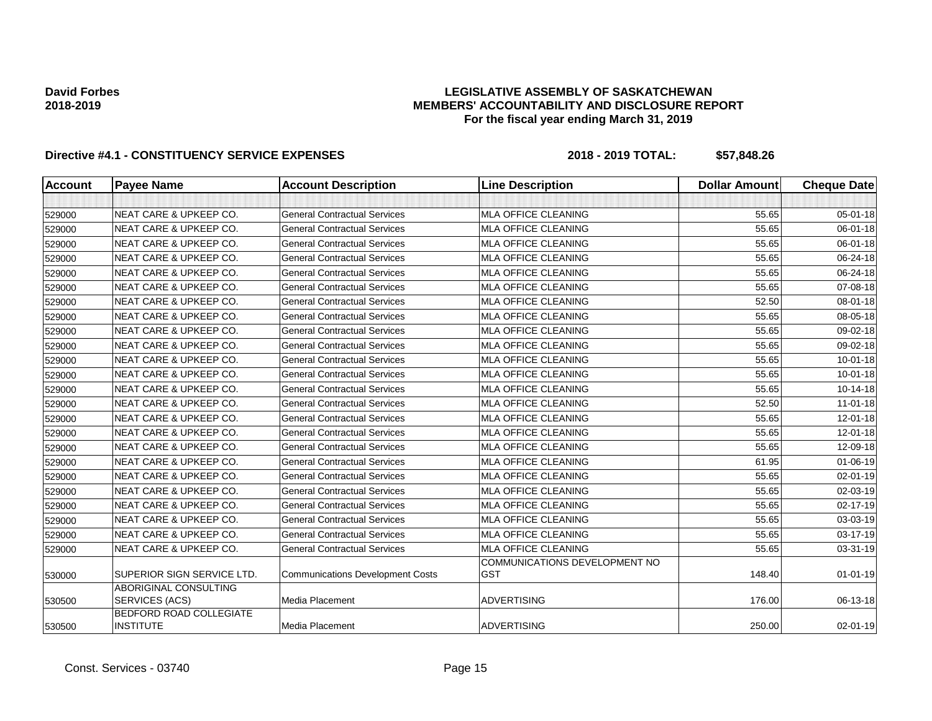### **LEGISLATIVE ASSEMBLY OF SASKATCHEWAN MEMBERS' ACCOUNTABILITY AND DISCLOSURE REPORT For the fiscal year ending March 31, 2019**

| <b>Account</b> | <b>Payee Name</b>                           | <b>Account Description</b>              | <b>Line Description</b>                     | <b>Dollar Amount</b> | <b>Cheque Date</b> |
|----------------|---------------------------------------------|-----------------------------------------|---------------------------------------------|----------------------|--------------------|
|                |                                             |                                         |                                             |                      |                    |
| 529000         | <b>NEAT CARE &amp; UPKEEP CO.</b>           | <b>General Contractual Services</b>     | <b>MLA OFFICE CLEANING</b>                  | 55.65                | $05 - 01 - 18$     |
| 529000         | <b>NEAT CARE &amp; UPKEEP CO.</b>           | <b>General Contractual Services</b>     | <b>MLA OFFICE CLEANING</b>                  | 55.65                | 06-01-18           |
| 529000         | <b>NEAT CARE &amp; UPKEEP CO.</b>           | <b>General Contractual Services</b>     | <b>MLA OFFICE CLEANING</b>                  | 55.65                | 06-01-18           |
| 529000         | <b>NEAT CARE &amp; UPKEEP CO.</b>           | <b>General Contractual Services</b>     | <b>MLA OFFICE CLEANING</b>                  | 55.65                | 06-24-18           |
| 529000         | <b>NEAT CARE &amp; UPKEEP CO.</b>           | <b>General Contractual Services</b>     | <b>MLA OFFICE CLEANING</b>                  | 55.65                | 06-24-18           |
| 529000         | <b>NEAT CARE &amp; UPKEEP CO.</b>           | <b>General Contractual Services</b>     | <b>MLA OFFICE CLEANING</b>                  | 55.65                | 07-08-18           |
| 529000         | <b>NEAT CARE &amp; UPKEEP CO.</b>           | <b>General Contractual Services</b>     | <b>MLA OFFICE CLEANING</b>                  | 52.50                | 08-01-18           |
| 529000         | <b>NEAT CARE &amp; UPKEEP CO.</b>           | <b>General Contractual Services</b>     | <b>MLA OFFICE CLEANING</b>                  | 55.65                | 08-05-18           |
| 529000         | <b>NEAT CARE &amp; UPKEEP CO.</b>           | <b>General Contractual Services</b>     | <b>MLA OFFICE CLEANING</b>                  | 55.65                | 09-02-18           |
| 529000         | <b>NEAT CARE &amp; UPKEEP CO.</b>           | <b>General Contractual Services</b>     | <b>MLA OFFICE CLEANING</b>                  | 55.65                | 09-02-18           |
| 529000         | <b>NEAT CARE &amp; UPKEEP CO.</b>           | <b>General Contractual Services</b>     | <b>MLA OFFICE CLEANING</b>                  | 55.65                | $10 - 01 - 18$     |
| 529000         | <b>NEAT CARE &amp; UPKEEP CO.</b>           | <b>General Contractual Services</b>     | <b>MLA OFFICE CLEANING</b>                  | 55.65                | $10 - 01 - 18$     |
| 529000         | <b>NEAT CARE &amp; UPKEEP CO.</b>           | <b>General Contractual Services</b>     | <b>MLA OFFICE CLEANING</b>                  | 55.65                | $10-14-18$         |
| 529000         | <b>NEAT CARE &amp; UPKEEP CO.</b>           | <b>General Contractual Services</b>     | <b>MLA OFFICE CLEANING</b>                  | 52.50                | $11-01-18$         |
| 529000         | <b>NEAT CARE &amp; UPKEEP CO.</b>           | <b>General Contractual Services</b>     | <b>MLA OFFICE CLEANING</b>                  | 55.65                | 12-01-18           |
| 529000         | NEAT CARE & UPKEEP CO.                      | <b>General Contractual Services</b>     | <b>MLA OFFICE CLEANING</b>                  | 55.65                | 12-01-18           |
| 529000         | <b>NEAT CARE &amp; UPKEEP CO.</b>           | <b>General Contractual Services</b>     | <b>MLA OFFICE CLEANING</b>                  | 55.65                | 12-09-18           |
| 529000         | <b>NEAT CARE &amp; UPKEEP CO.</b>           | <b>General Contractual Services</b>     | <b>MLA OFFICE CLEANING</b>                  | 61.95                | $01 - 06 - 19$     |
| 529000         | <b>NEAT CARE &amp; UPKEEP CO.</b>           | <b>General Contractual Services</b>     | <b>MLA OFFICE CLEANING</b>                  | 55.65                | $02 - 01 - 19$     |
| 529000         | <b>NEAT CARE &amp; UPKEEP CO.</b>           | <b>General Contractual Services</b>     | MLA OFFICE CLEANING                         | 55.65                | 02-03-19           |
| 529000         | <b>NEAT CARE &amp; UPKEEP CO.</b>           | <b>General Contractual Services</b>     | MLA OFFICE CLEANING                         | 55.65                | 02-17-19           |
| 529000         | <b>NEAT CARE &amp; UPKEEP CO.</b>           | <b>General Contractual Services</b>     | <b>MLA OFFICE CLEANING</b>                  | 55.65                | 03-03-19           |
| 529000         | <b>NEAT CARE &amp; UPKEEP CO.</b>           | <b>General Contractual Services</b>     | <b>MLA OFFICE CLEANING</b>                  | 55.65                | 03-17-19           |
| 529000         | NEAT CARE & UPKEEP CO.                      | <b>General Contractual Services</b>     | <b>MLA OFFICE CLEANING</b>                  | 55.65                | 03-31-19           |
| 530000         | SUPERIOR SIGN SERVICE LTD.                  | <b>Communications Development Costs</b> | COMMUNICATIONS DEVELOPMENT NO<br><b>GST</b> | 148.40               | $01 - 01 - 19$     |
| 530500         | ABORIGINAL CONSULTING<br>SERVICES (ACS)     | Media Placement                         | <b>ADVERTISING</b>                          | 176.00               | 06-13-18           |
| 530500         | BEDFORD ROAD COLLEGIATE<br><b>INSTITUTE</b> | Media Placement                         | <b>ADVERTISING</b>                          | 250.00               | $02 - 01 - 19$     |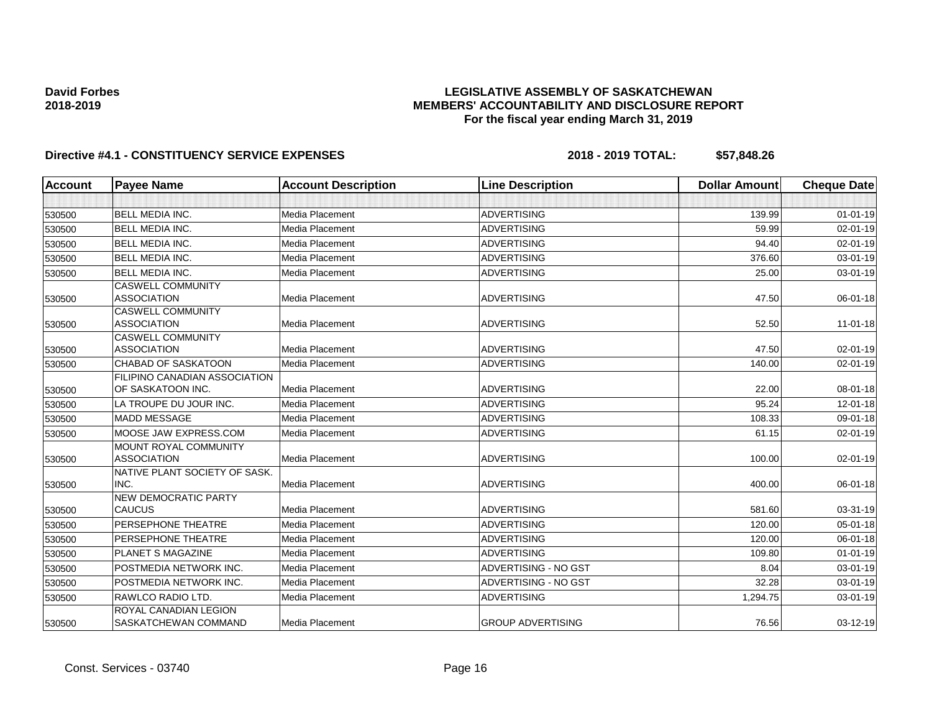### **LEGISLATIVE ASSEMBLY OF SASKATCHEWAN MEMBERS' ACCOUNTABILITY AND DISCLOSURE REPORT For the fiscal year ending March 31, 2019**

| <b>Account</b> | <b>Payee Name</b>                                                  | <b>Account Description</b> | <b>Line Description</b>  | <b>Dollar Amount</b> | <b>Cheque Date</b> |
|----------------|--------------------------------------------------------------------|----------------------------|--------------------------|----------------------|--------------------|
|                |                                                                    |                            |                          |                      |                    |
| 530500         | <b>BELL MEDIA INC.</b>                                             | Media Placement            | <b>ADVERTISING</b>       | 139.99               | $01 - 01 - 19$     |
| 530500         | <b>BELL MEDIA INC.</b>                                             | Media Placement            | <b>ADVERTISING</b>       | 59.99                | $02 - 01 - 19$     |
| 530500         | <b>BELL MEDIA INC.</b>                                             | Media Placement            | ADVERTISING              | 94.40                | 02-01-19           |
| 530500         | <b>BELL MEDIA INC.</b>                                             | Media Placement            | <b>ADVERTISING</b>       | 376.60               | 03-01-19           |
| 530500         | <b>BELL MEDIA INC.</b>                                             | Media Placement            | <b>ADVERTISING</b>       | 25.00                | 03-01-19           |
|                | <b>CASWELL COMMUNITY</b>                                           |                            |                          |                      |                    |
| 530500         | <b>ASSOCIATION</b>                                                 | Media Placement            | <b>ADVERTISING</b>       | 47.50                | 06-01-18           |
|                | <b>CASWELL COMMUNITY</b>                                           |                            |                          |                      |                    |
| 530500         | <b>ASSOCIATION</b>                                                 | Media Placement            | <b>ADVERTISING</b>       | 52.50                | $11 - 01 - 18$     |
|                | <b>CASWELL COMMUNITY</b><br><b>ASSOCIATION</b>                     | Media Placement            | <b>ADVERTISING</b>       | 47.50                |                    |
| 530500         |                                                                    |                            |                          |                      | 02-01-19           |
| 530500         | <b>CHABAD OF SASKATOON</b><br><b>FILIPINO CANADIAN ASSOCIATION</b> | Media Placement            | <b>ADVERTISING</b>       | 140.00               | 02-01-19           |
| 530500         | OF SASKATOON INC.                                                  | Media Placement            | <b>ADVERTISING</b>       | 22.00                | $08 - 01 - 18$     |
| 530500         | LA TROUPE DU JOUR INC.                                             | Media Placement            | ADVERTISING              | 95.24                | 12-01-18           |
| 530500         | <b>MADD MESSAGE</b>                                                | Media Placement            | <b>ADVERTISING</b>       | 108.33               | 09-01-18           |
| 530500         | MOOSE JAW EXPRESS.COM                                              | Media Placement            | <b>ADVERTISING</b>       | 61.15                | $02 - 01 - 19$     |
|                | MOUNT ROYAL COMMUNITY                                              |                            |                          |                      |                    |
| 530500         | <b>ASSOCIATION</b>                                                 | Media Placement            | <b>ADVERTISING</b>       | 100.00               | 02-01-19           |
|                | NATIVE PLANT SOCIETY OF SASK.                                      |                            |                          |                      |                    |
| 530500         | INC.                                                               | Media Placement            | <b>ADVERTISING</b>       | 400.00               | 06-01-18           |
|                | <b>NEW DEMOCRATIC PARTY</b>                                        |                            |                          |                      |                    |
| 530500         | <b>CAUCUS</b>                                                      | Media Placement            | <b>ADVERTISING</b>       | 581.60               | 03-31-19           |
| 530500         | <b>PERSEPHONE THEATRE</b>                                          | Media Placement            | <b>ADVERTISING</b>       | 120.00               | 05-01-18           |
| 530500         | <b>PERSEPHONE THEATRE</b>                                          | Media Placement            | <b>ADVERTISING</b>       | 120.00               | 06-01-18           |
| 530500         | PLANET S MAGAZINE                                                  | Media Placement            | <b>ADVERTISING</b>       | 109.80               | $01 - 01 - 19$     |
| 530500         | POSTMEDIA NETWORK INC.                                             | Media Placement            | ADVERTISING - NO GST     | 8.04                 | 03-01-19           |
| 530500         | POSTMEDIA NETWORK INC.                                             | Media Placement            | ADVERTISING - NO GST     | 32.28                | 03-01-19           |
| 530500         | RAWLCO RADIO LTD.                                                  | Media Placement            | <b>ADVERTISING</b>       | 1,294.75             | 03-01-19           |
|                | ROYAL CANADIAN LEGION                                              |                            |                          |                      |                    |
| 530500         | SASKATCHEWAN COMMAND                                               | Media Placement            | <b>GROUP ADVERTISING</b> | 76.56                | 03-12-19           |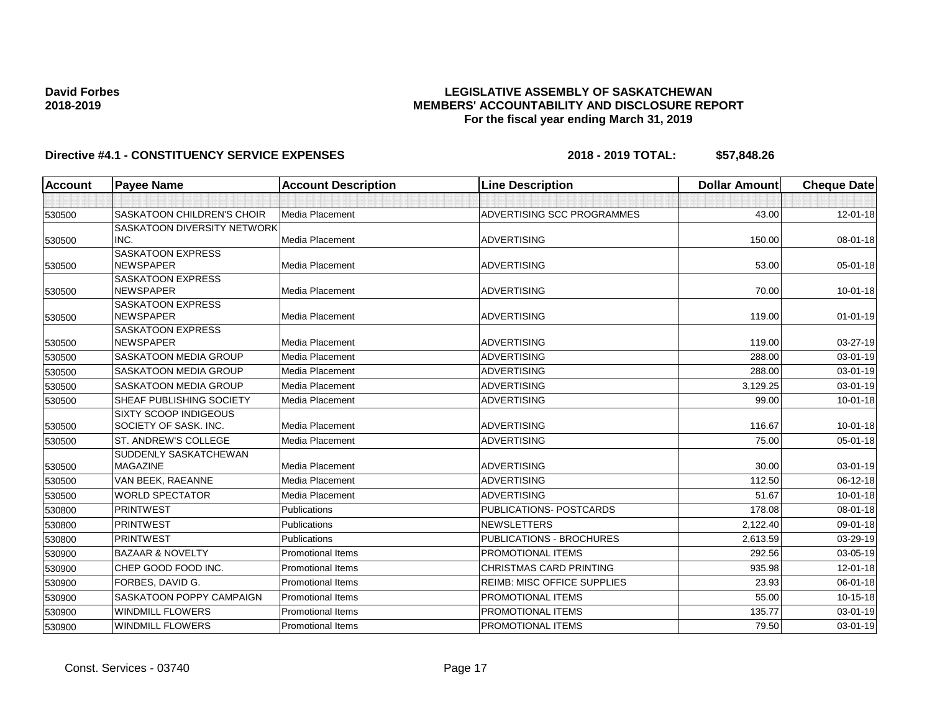## **LEGISLATIVE ASSEMBLY OF SASKATCHEWAN MEMBERS' ACCOUNTABILITY AND DISCLOSURE REPORT For the fiscal year ending March 31, 2019**

| <b>Account</b> | <b>Payee Name</b>                            | <b>Account Description</b> | <b>Line Description</b>            | <b>Dollar Amount</b> | <b>Cheque Date</b> |
|----------------|----------------------------------------------|----------------------------|------------------------------------|----------------------|--------------------|
|                |                                              |                            |                                    |                      |                    |
| 530500         | <b>SASKATOON CHILDREN'S CHOIR</b>            | Media Placement            | ADVERTISING SCC PROGRAMMES         | 43.00                | 12-01-18           |
|                | <b>SASKATOON DIVERSITY NETWORK</b>           |                            |                                    |                      |                    |
| 530500         | INC.                                         | Media Placement            | <b>ADVERTISING</b>                 | 150.00               | 08-01-18           |
|                | <b>SASKATOON EXPRESS</b>                     |                            |                                    |                      |                    |
| 530500         | <b>NEWSPAPER</b>                             | Media Placement            | <b>ADVERTISING</b>                 | 53.00                | 05-01-18           |
|                | <b>SASKATOON EXPRESS</b><br><b>NEWSPAPER</b> | Media Placement            | <b>ADVERTISING</b>                 | 70.00                | $10 - 01 - 18$     |
| 530500         | <b>SASKATOON EXPRESS</b>                     |                            |                                    |                      |                    |
| 530500         | <b>NEWSPAPER</b>                             | Media Placement            | <b>ADVERTISING</b>                 | 119.00               | $01 - 01 - 19$     |
|                | <b>SASKATOON EXPRESS</b>                     |                            |                                    |                      |                    |
| 530500         | <b>NEWSPAPER</b>                             | Media Placement            | <b>ADVERTISING</b>                 | 119.00               | 03-27-19           |
| 530500         | SASKATOON MEDIA GROUP                        | Media Placement            | <b>ADVERTISING</b>                 | 288.00               | 03-01-19           |
| 530500         | SASKATOON MEDIA GROUP                        | Media Placement            | <b>ADVERTISING</b>                 | 288.00               | 03-01-19           |
| 530500         | <b>SASKATOON MEDIA GROUP</b>                 | Media Placement            | <b>ADVERTISING</b>                 | 3,129.25             | 03-01-19           |
| 530500         | SHEAF PUBLISHING SOCIETY                     | Media Placement            | <b>ADVERTISING</b>                 | 99.00                | $10-01-18$         |
|                | <b>SIXTY SCOOP INDIGEOUS</b>                 |                            |                                    |                      |                    |
| 530500         | SOCIETY OF SASK. INC.                        | Media Placement            | <b>ADVERTISING</b>                 | 116.67               | $10 - 01 - 18$     |
| 530500         | ST. ANDREW'S COLLEGE                         | Media Placement            | <b>ADVERTISING</b>                 | 75.00                | $05 - 01 - 18$     |
|                | SUDDENLY SASKATCHEWAN                        |                            |                                    |                      |                    |
| 530500         | <b>MAGAZINE</b>                              | Media Placement            | <b>ADVERTISING</b>                 | 30.00                | 03-01-19           |
| 530500         | VAN BEEK, RAEANNE                            | Media Placement            | <b>ADVERTISING</b>                 | 112.50               | 06-12-18           |
| 530500         | <b>WORLD SPECTATOR</b>                       | Media Placement            | <b>ADVERTISING</b>                 | 51.67                | $10 - 01 - 18$     |
| 530800         | <b>PRINTWEST</b>                             | Publications               | PUBLICATIONS- POSTCARDS            | 178.08               | 08-01-18           |
| 530800         | <b>PRINTWEST</b>                             | <b>Publications</b>        | <b>NEWSLETTERS</b>                 | 2,122.40             | 09-01-18           |
| 530800         | <b>PRINTWEST</b>                             | Publications               | PUBLICATIONS - BROCHURES           | 2.613.59             | 03-29-19           |
| 530900         | <b>BAZAAR &amp; NOVELTY</b>                  | <b>Promotional Items</b>   | <b>PROMOTIONAL ITEMS</b>           | 292.56               | 03-05-19           |
| 530900         | CHEP GOOD FOOD INC.                          | <b>Promotional Items</b>   | <b>CHRISTMAS CARD PRINTING</b>     | 935.98               | $12 - 01 - 18$     |
| 530900         | FORBES, DAVID G.                             | <b>Promotional Items</b>   | <b>REIMB: MISC OFFICE SUPPLIES</b> | 23.93                | 06-01-18           |
| 530900         | SASKATOON POPPY CAMPAIGN                     | <b>Promotional Items</b>   | PROMOTIONAL ITEMS                  | 55.00                | $10-15-18$         |
| 530900         | <b>WINDMILL FLOWERS</b>                      | <b>Promotional Items</b>   | PROMOTIONAL ITEMS                  | 135.77               | 03-01-19           |
| 530900         | <b>WINDMILL FLOWERS</b>                      | Promotional Items          | PROMOTIONAL ITEMS                  | 79.50                | $03 - 01 - 19$     |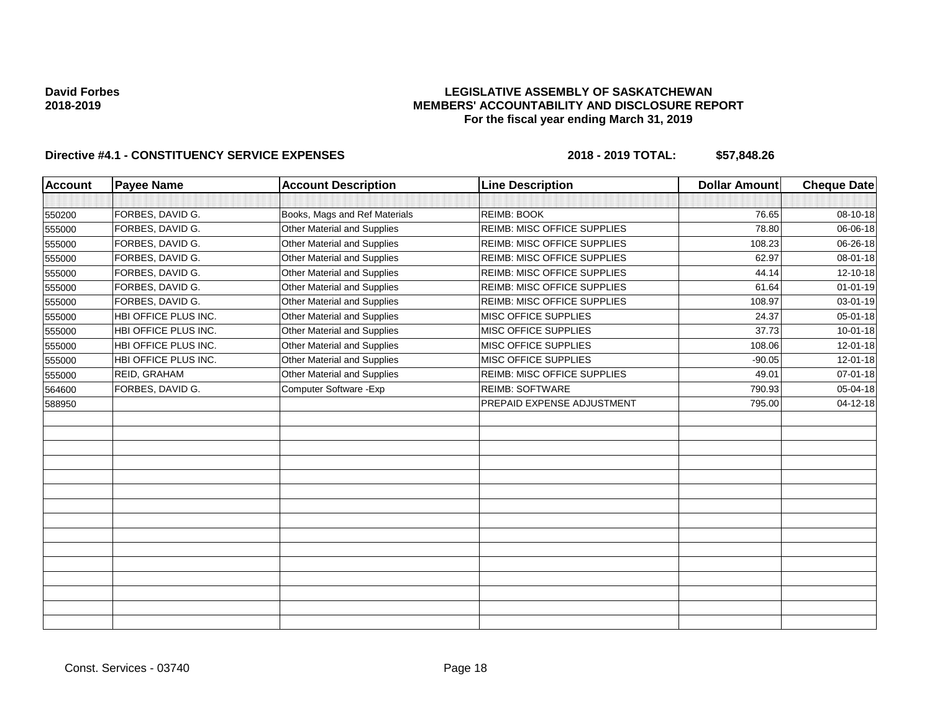### **LEGISLATIVE ASSEMBLY OF SASKATCHEWAN MEMBERS' ACCOUNTABILITY AND DISCLOSURE REPORT For the fiscal year ending March 31, 2019**

| <b>Account</b> | <b>Payee Name</b>    | <b>Account Description</b>    | <b>Line Description</b>            | <b>Dollar Amount</b> | <b>Cheque Date</b> |
|----------------|----------------------|-------------------------------|------------------------------------|----------------------|--------------------|
|                |                      |                               |                                    |                      |                    |
| 550200         | FORBES, DAVID G.     | Books, Mags and Ref Materials | <b>REIMB: BOOK</b>                 | 76.65                | 08-10-18           |
| 555000         | FORBES, DAVID G.     | Other Material and Supplies   | <b>REIMB: MISC OFFICE SUPPLIES</b> | 78.80                | 06-06-18           |
| 555000         | FORBES, DAVID G.     | Other Material and Supplies   | REIMB: MISC OFFICE SUPPLIES        | 108.23               | 06-26-18           |
| 555000         | FORBES, DAVID G.     | Other Material and Supplies   | <b>REIMB: MISC OFFICE SUPPLIES</b> | 62.97                | 08-01-18           |
| 555000         | FORBES, DAVID G.     | Other Material and Supplies   | <b>REIMB: MISC OFFICE SUPPLIES</b> | 44.14                | 12-10-18           |
| 555000         | FORBES, DAVID G.     | Other Material and Supplies   | REIMB: MISC OFFICE SUPPLIES        | 61.64                | $01 - 01 - 19$     |
| 555000         | FORBES, DAVID G.     | Other Material and Supplies   | REIMB: MISC OFFICE SUPPLIES        | 108.97               | 03-01-19           |
| 555000         | HBI OFFICE PLUS INC. | Other Material and Supplies   | MISC OFFICE SUPPLIES               | 24.37                | 05-01-18           |
| 555000         | HBI OFFICE PLUS INC. | Other Material and Supplies   | MISC OFFICE SUPPLIES               | 37.73                | 10-01-18           |
| 555000         | HBI OFFICE PLUS INC. | Other Material and Supplies   | <b>MISC OFFICE SUPPLIES</b>        | 108.06               | 12-01-18           |
| 555000         | HBI OFFICE PLUS INC. | Other Material and Supplies   | MISC OFFICE SUPPLIES               | $-90.05$             | $12 - 01 - 18$     |
| 555000         | REID, GRAHAM         | Other Material and Supplies   | <b>REIMB: MISC OFFICE SUPPLIES</b> | 49.01                | 07-01-18           |
| 564600         | FORBES, DAVID G.     | Computer Software - Exp       | <b>REIMB: SOFTWARE</b>             | 790.93               | 05-04-18           |
| 588950         |                      |                               | PREPAID EXPENSE ADJUSTMENT         | 795.00               | 04-12-18           |
|                |                      |                               |                                    |                      |                    |
|                |                      |                               |                                    |                      |                    |
|                |                      |                               |                                    |                      |                    |
|                |                      |                               |                                    |                      |                    |
|                |                      |                               |                                    |                      |                    |
|                |                      |                               |                                    |                      |                    |
|                |                      |                               |                                    |                      |                    |
|                |                      |                               |                                    |                      |                    |
|                |                      |                               |                                    |                      |                    |
|                |                      |                               |                                    |                      |                    |
|                |                      |                               |                                    |                      |                    |
|                |                      |                               |                                    |                      |                    |
|                |                      |                               |                                    |                      |                    |
|                |                      |                               |                                    |                      |                    |
|                |                      |                               |                                    |                      |                    |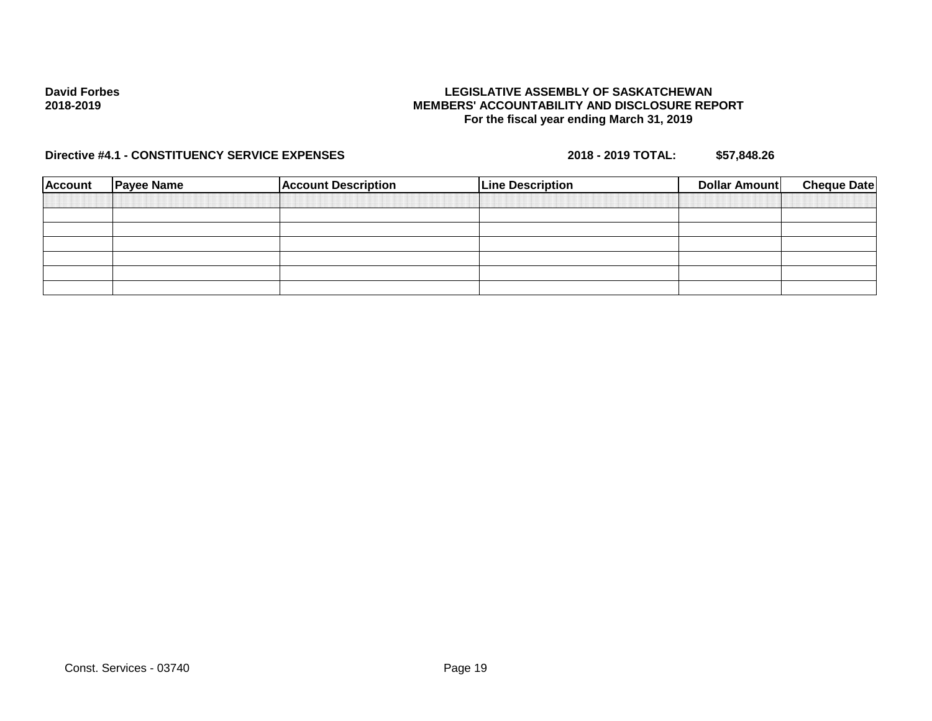### **LEGISLATIVE ASSEMBLY OF SASKATCHEWAN MEMBERS' ACCOUNTABILITY AND DISCLOSURE REPORT For the fiscal year ending March 31, 2019**

| <b>Account</b> | <b>Payee Name</b> | <b>Account Description</b> | <b>Line Description</b> | Dollar Amount | <b>Cheque Date</b> |
|----------------|-------------------|----------------------------|-------------------------|---------------|--------------------|
|                |                   |                            |                         |               |                    |
|                |                   |                            |                         |               |                    |
|                |                   |                            |                         |               |                    |
|                |                   |                            |                         |               |                    |
|                |                   |                            |                         |               |                    |
|                |                   |                            |                         |               |                    |
|                |                   |                            |                         |               |                    |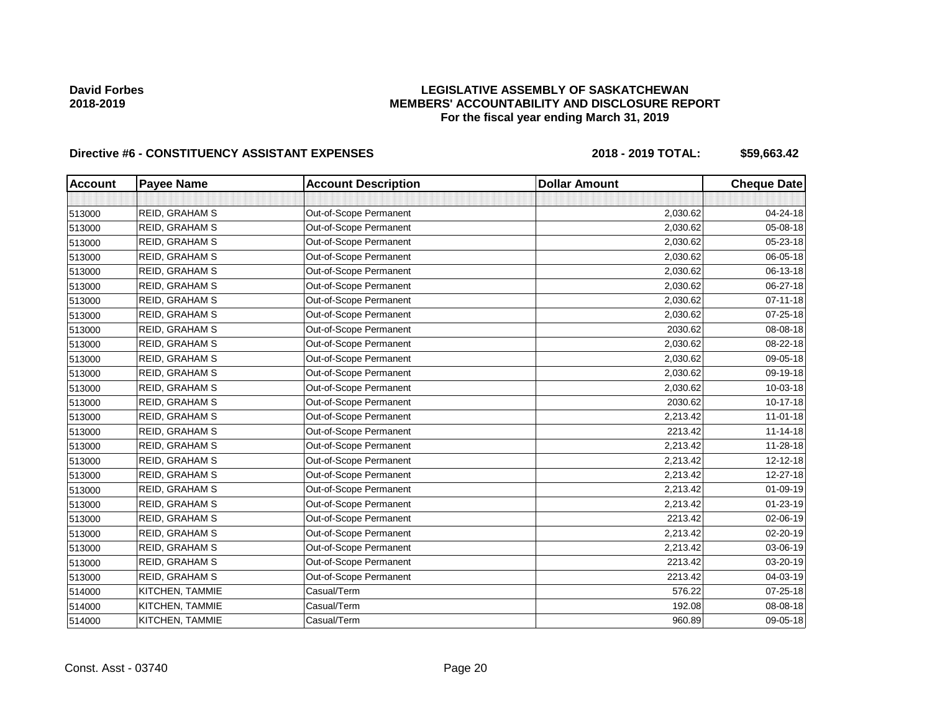## **LEGISLATIVE ASSEMBLY OF SASKATCHEWAN MEMBERS' ACCOUNTABILITY AND DISCLOSURE REPORT For the fiscal year ending March 31, 2019**

# Directive #6 - CONSTITUENCY ASSISTANT EXPENSES 2018 - 2018 - 2019 TOTAL: \$59,663.42

| <b>Account</b> | <b>Payee Name</b>     | <b>Account Description</b> | <b>Dollar Amount</b> | <b>Cheque Date</b> |
|----------------|-----------------------|----------------------------|----------------------|--------------------|
|                |                       |                            |                      |                    |
| 513000         | <b>REID, GRAHAM S</b> | Out-of-Scope Permanent     | 2,030.62             | 04-24-18           |
| 513000         | REID, GRAHAM S        | Out-of-Scope Permanent     | 2,030.62             | 05-08-18           |
| 513000         | REID, GRAHAM S        | Out-of-Scope Permanent     | 2,030.62             | 05-23-18           |
| 513000         | REID, GRAHAM S        | Out-of-Scope Permanent     | 2,030.62             | 06-05-18           |
| 513000         | <b>REID, GRAHAM S</b> | Out-of-Scope Permanent     | 2,030.62             | 06-13-18           |
| 513000         | REID, GRAHAM S        | Out-of-Scope Permanent     | 2,030.62             | 06-27-18           |
| 513000         | <b>REID, GRAHAM S</b> | Out-of-Scope Permanent     | 2,030.62             | $07 - 11 - 18$     |
| 513000         | REID, GRAHAM S        | Out-of-Scope Permanent     | 2,030.62             | 07-25-18           |
| 513000         | REID, GRAHAM S        | Out-of-Scope Permanent     | 2030.62              | 08-08-18           |
| 513000         | REID, GRAHAM S        | Out-of-Scope Permanent     | 2,030.62             | 08-22-18           |
| 513000         | REID, GRAHAM S        | Out-of-Scope Permanent     | 2,030.62             | 09-05-18           |
| 513000         | REID, GRAHAM S        | Out-of-Scope Permanent     | 2,030.62             | 09-19-18           |
| 513000         | REID, GRAHAM S        | Out-of-Scope Permanent     | 2,030.62             | 10-03-18           |
| 513000         | <b>REID, GRAHAM S</b> | Out-of-Scope Permanent     | 2030.62              | 10-17-18           |
| 513000         | REID, GRAHAM S        | Out-of-Scope Permanent     | 2,213.42             | $11 - 01 - 18$     |
| 513000         | REID, GRAHAM S        | Out-of-Scope Permanent     | 2213.42              | $11 - 14 - 18$     |
| 513000         | <b>REID, GRAHAM S</b> | Out-of-Scope Permanent     | 2,213.42             | 11-28-18           |
| 513000         | REID, GRAHAM S        | Out-of-Scope Permanent     | 2,213.42             | 12-12-18           |
| 513000         | REID, GRAHAM S        | Out-of-Scope Permanent     | 2,213.42             | 12-27-18           |
| 513000         | REID, GRAHAM S        | Out-of-Scope Permanent     | 2,213.42             | 01-09-19           |
| 513000         | <b>REID, GRAHAM S</b> | Out-of-Scope Permanent     | 2,213.42             | 01-23-19           |
| 513000         | REID, GRAHAM S        | Out-of-Scope Permanent     | 2213.42              | 02-06-19           |
| 513000         | REID, GRAHAM S        | Out-of-Scope Permanent     | 2,213.42             | 02-20-19           |
| 513000         | REID, GRAHAM S        | Out-of-Scope Permanent     | 2,213.42             | 03-06-19           |
| 513000         | <b>REID, GRAHAM S</b> | Out-of-Scope Permanent     | 2213.42              | 03-20-19           |
| 513000         | <b>REID, GRAHAM S</b> | Out-of-Scope Permanent     | 2213.42              | 04-03-19           |
| 514000         | KITCHEN, TAMMIE       | Casual/Term                | 576.22               | $07 - 25 - 18$     |
| 514000         | KITCHEN, TAMMIE       | Casual/Term                | 192.08               | 08-08-18           |
| 514000         | KITCHEN, TAMMIE       | Casual/Term                | 960.89               | 09-05-18           |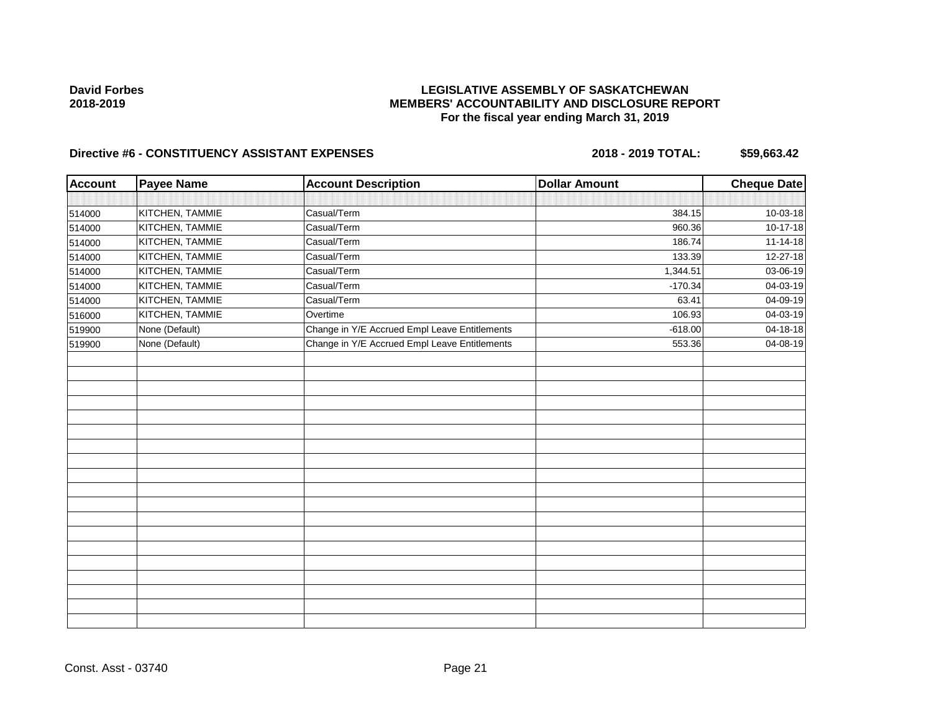## **LEGISLATIVE ASSEMBLY OF SASKATCHEWAN MEMBERS' ACCOUNTABILITY AND DISCLOSURE REPORT For the fiscal year ending March 31, 2019**

# Directive #6 - CONSTITUENCY ASSISTANT EXPENSES 2018 - 2018 - 2019 TOTAL: \$59,663.42

| <b>Account</b> | <b>Payee Name</b> | <b>Account Description</b>                    | <b>Dollar Amount</b> | <b>Cheque Date</b> |
|----------------|-------------------|-----------------------------------------------|----------------------|--------------------|
|                |                   |                                               |                      |                    |
| 514000         | KITCHEN, TAMMIE   | Casual/Term                                   | 384.15               | 10-03-18           |
| 514000         | KITCHEN, TAMMIE   | Casual/Term                                   | 960.36               | 10-17-18           |
| 514000         | KITCHEN, TAMMIE   | Casual/Term                                   | 186.74               | $11 - 14 - 18$     |
| 514000         | KITCHEN, TAMMIE   | Casual/Term                                   | 133.39               | 12-27-18           |
| 514000         | KITCHEN, TAMMIE   | Casual/Term                                   | 1,344.51             | 03-06-19           |
| 514000         | KITCHEN, TAMMIE   | Casual/Term                                   | $-170.34$            | 04-03-19           |
| 514000         | KITCHEN, TAMMIE   | Casual/Term                                   | 63.41                | 04-09-19           |
| 516000         | KITCHEN, TAMMIE   | Overtime                                      | 106.93               | 04-03-19           |
| 519900         | None (Default)    | Change in Y/E Accrued Empl Leave Entitlements | $-618.00$            | 04-18-18           |
| 519900         | None (Default)    | Change in Y/E Accrued Empl Leave Entitlements | 553.36               | 04-08-19           |
|                |                   |                                               |                      |                    |
|                |                   |                                               |                      |                    |
|                |                   |                                               |                      |                    |
|                |                   |                                               |                      |                    |
|                |                   |                                               |                      |                    |
|                |                   |                                               |                      |                    |
|                |                   |                                               |                      |                    |
|                |                   |                                               |                      |                    |
|                |                   |                                               |                      |                    |
|                |                   |                                               |                      |                    |
|                |                   |                                               |                      |                    |
|                |                   |                                               |                      |                    |
|                |                   |                                               |                      |                    |
|                |                   |                                               |                      |                    |
|                |                   |                                               |                      |                    |
|                |                   |                                               |                      |                    |
|                |                   |                                               |                      |                    |
|                |                   |                                               |                      |                    |
|                |                   |                                               |                      |                    |

Const. Asst - 03740 Page 21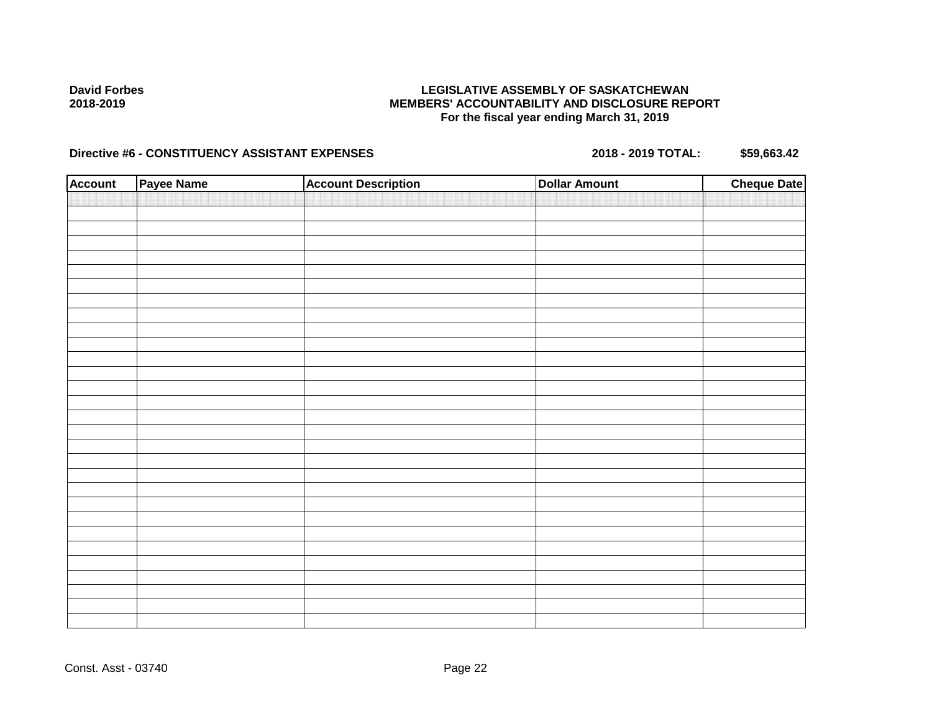### **LEGISLATIVE ASSEMBLY OF SASKATCHEWAN MEMBERS' ACCOUNTABILITY AND DISCLOSURE REPORT For the fiscal year ending March 31, 2019**

# Directive #6 - CONSTITUENCY ASSISTANT EXPENSES 2018 - 2018 - 2019 TOTAL: \$59,663.42

| <b>Account</b> | Payee Name | <b>Account Description</b> | <b>Dollar Amount</b> | <b>Cheque Date</b> |
|----------------|------------|----------------------------|----------------------|--------------------|
|                |            |                            |                      |                    |
|                |            |                            |                      |                    |
|                |            |                            |                      |                    |
|                |            |                            |                      |                    |
|                |            |                            |                      |                    |
|                |            |                            |                      |                    |
|                |            |                            |                      |                    |
|                |            |                            |                      |                    |
|                |            |                            |                      |                    |
|                |            |                            |                      |                    |
|                |            |                            |                      |                    |
|                |            |                            |                      |                    |
|                |            |                            |                      |                    |
|                |            |                            |                      |                    |
|                |            |                            |                      |                    |
|                |            |                            |                      |                    |
|                |            |                            |                      |                    |
|                |            |                            |                      |                    |
|                |            |                            |                      |                    |
|                |            |                            |                      |                    |
|                |            |                            |                      |                    |
|                |            |                            |                      |                    |
|                |            |                            |                      |                    |
|                |            |                            |                      |                    |
|                |            |                            |                      |                    |
|                |            |                            |                      |                    |
|                |            |                            |                      |                    |
|                |            |                            |                      |                    |
|                |            |                            |                      |                    |
|                |            |                            |                      |                    |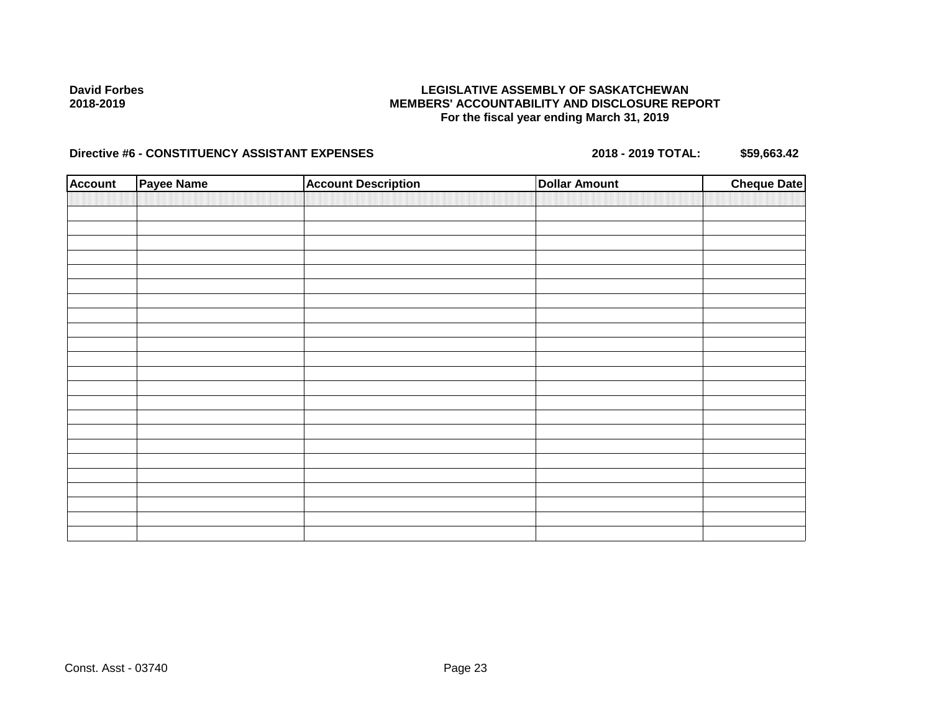### **LEGISLATIVE ASSEMBLY OF SASKATCHEWAN MEMBERS' ACCOUNTABILITY AND DISCLOSURE REPORT For the fiscal year ending March 31, 2019**

# Directive #6 - CONSTITUENCY ASSISTANT EXPENSES 2018 - 2018 - 2019 TOTAL: \$59,663.42

| <b>Account</b> | <b>Payee Name</b> | <b>Account Description</b> | <b>Dollar Amount</b> | <b>Cheque Date</b> |
|----------------|-------------------|----------------------------|----------------------|--------------------|
|                |                   |                            |                      |                    |
|                |                   |                            |                      |                    |
|                |                   |                            |                      |                    |
|                |                   |                            |                      |                    |
|                |                   |                            |                      |                    |
|                |                   |                            |                      |                    |
|                |                   |                            |                      |                    |
|                |                   |                            |                      |                    |
|                |                   |                            |                      |                    |
|                |                   |                            |                      |                    |
|                |                   |                            |                      |                    |
|                |                   |                            |                      |                    |
|                |                   |                            |                      |                    |
|                |                   |                            |                      |                    |
|                |                   |                            |                      |                    |
|                |                   |                            |                      |                    |
|                |                   |                            |                      |                    |
|                |                   |                            |                      |                    |
|                |                   |                            |                      |                    |
|                |                   |                            |                      |                    |
|                |                   |                            |                      |                    |
|                |                   |                            |                      |                    |
|                |                   |                            |                      |                    |
|                |                   |                            |                      |                    |